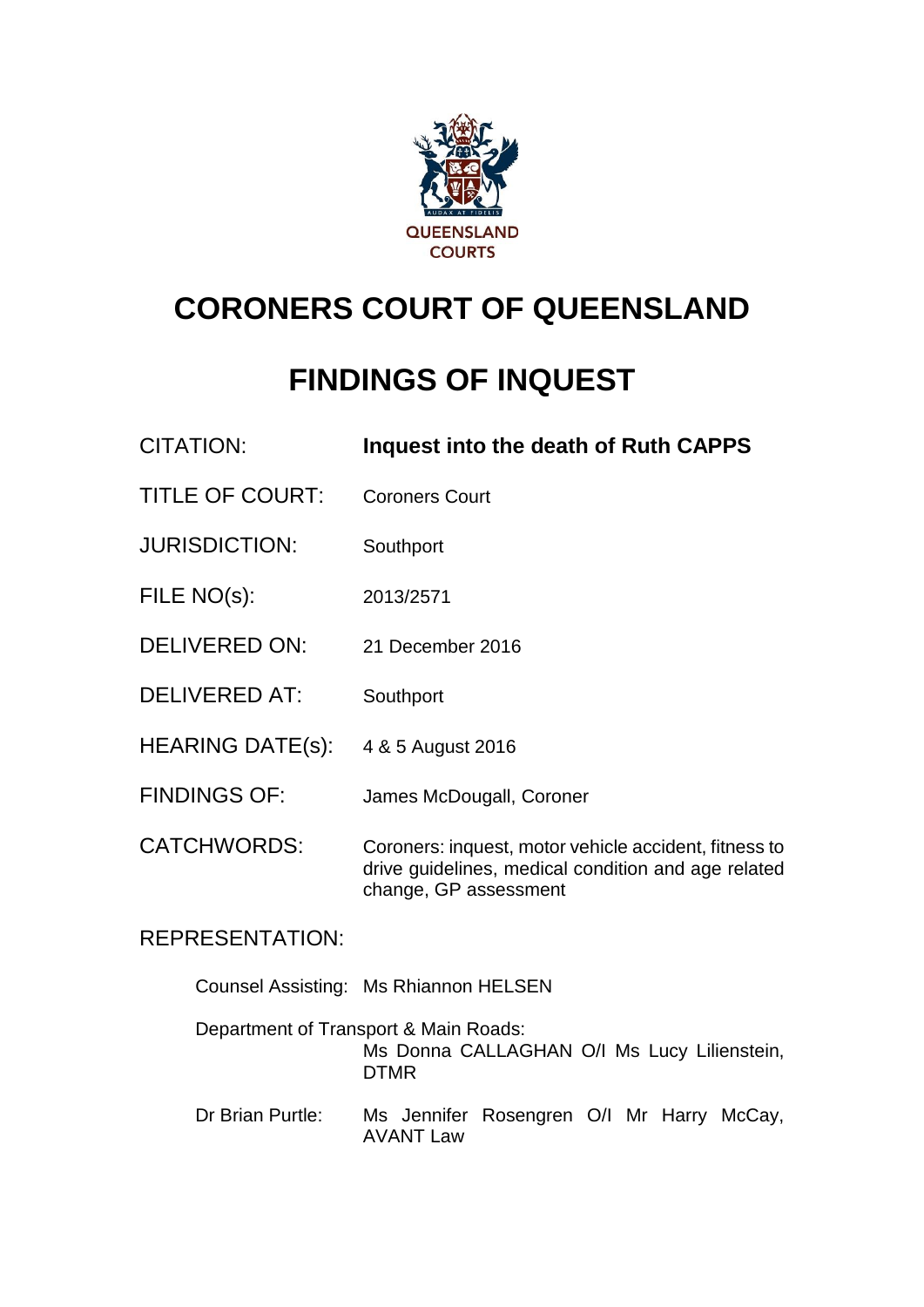

# **CORONERS COURT OF QUEENSLAND**

# **FINDINGS OF INQUEST**

| <b>CITATION:</b>        | Inquest into the death of Ruth CAPPS                                                                                                  |
|-------------------------|---------------------------------------------------------------------------------------------------------------------------------------|
| <b>TITLE OF COURT:</b>  | <b>Coroners Court</b>                                                                                                                 |
| <b>JURISDICTION:</b>    | Southport                                                                                                                             |
| FILE NO(s):             | 2013/2571                                                                                                                             |
| <b>DELIVERED ON:</b>    | 21 December 2016                                                                                                                      |
| <b>DELIVERED AT:</b>    | Southport                                                                                                                             |
| <b>HEARING DATE(s):</b> | 4 & 5 August 2016                                                                                                                     |
| <b>FINDINGS OF:</b>     | James McDougall, Coroner                                                                                                              |
| <b>CATCHWORDS:</b>      | Coroners: inquest, motor vehicle accident, fitness to<br>drive guidelines, medical condition and age related<br>change, GP assessment |

# REPRESENTATION:

|                  | Counsel Assisting: Ms Rhiannon HELSEN                                                               |
|------------------|-----------------------------------------------------------------------------------------------------|
|                  | Department of Transport & Main Roads:<br>Ms Donna CALLAGHAN O/I Ms Lucy Lilienstein,<br><b>DTMR</b> |
| Dr Brian Purtle: | Ms Jennifer Rosengren O/I Mr Harry McCay,<br><b>AVANT Law</b>                                       |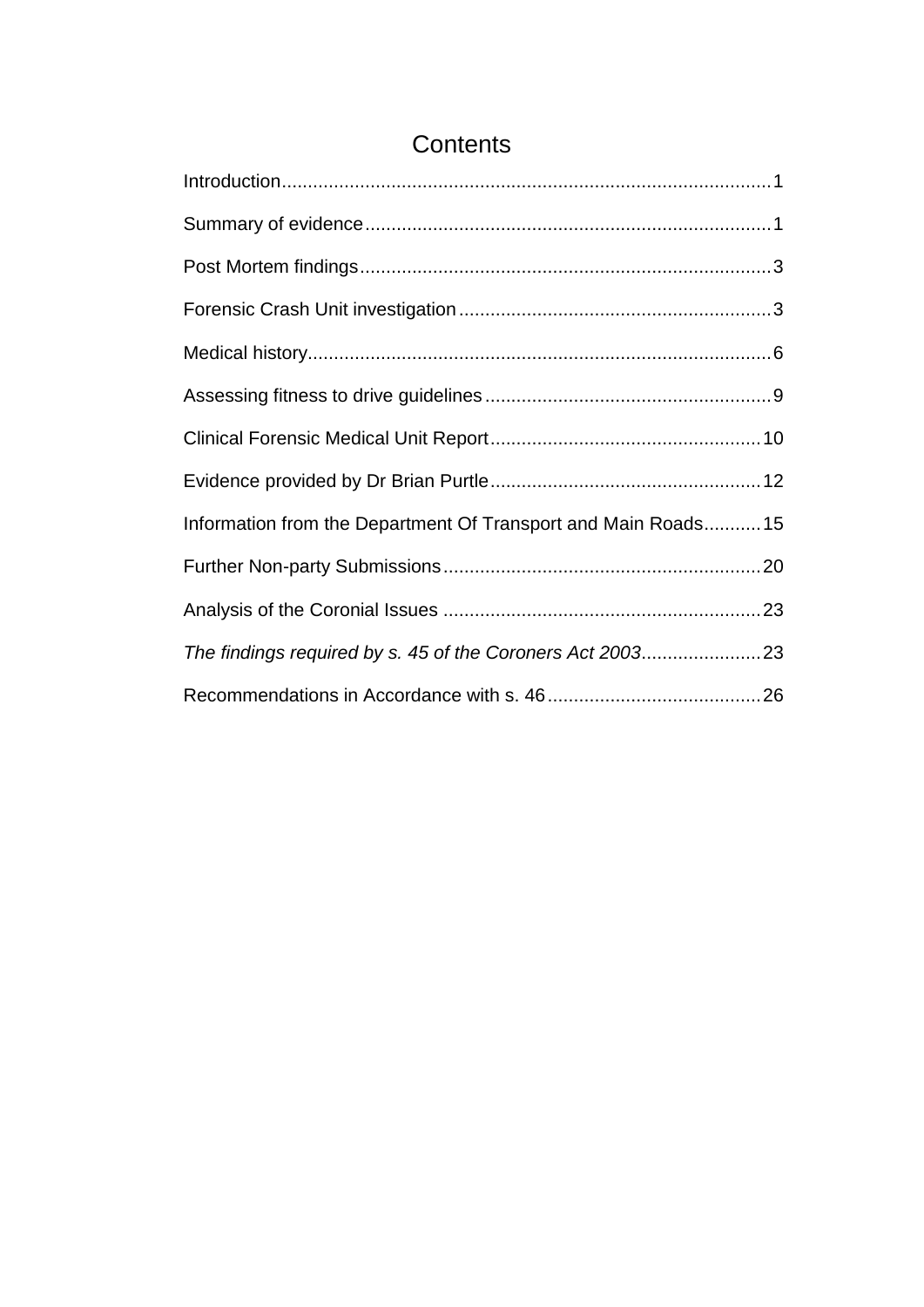| Information from the Department Of Transport and Main Roads15 |  |
|---------------------------------------------------------------|--|
|                                                               |  |
|                                                               |  |
| The findings required by s. 45 of the Coroners Act 200323     |  |
|                                                               |  |

# **Contents**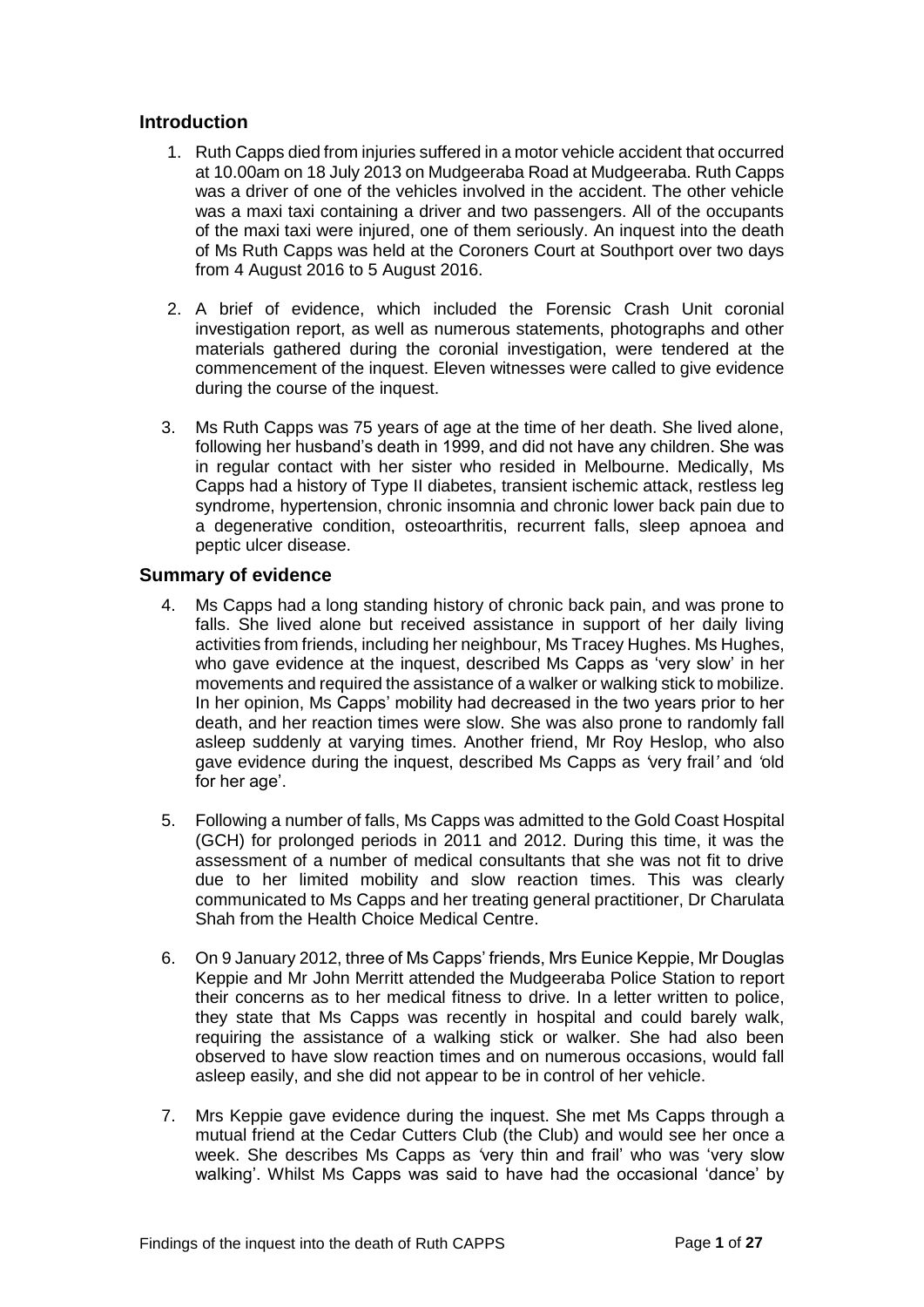# <span id="page-2-0"></span>**Introduction**

- 1. Ruth Capps died from injuries suffered in a motor vehicle accident that occurred at 10.00am on 18 July 2013 on Mudgeeraba Road at Mudgeeraba. Ruth Capps was a driver of one of the vehicles involved in the accident. The other vehicle was a maxi taxi containing a driver and two passengers. All of the occupants of the maxi taxi were injured, one of them seriously. An inquest into the death of Ms Ruth Capps was held at the Coroners Court at Southport over two days from 4 August 2016 to 5 August 2016.
- 2. A brief of evidence, which included the Forensic Crash Unit coronial investigation report, as well as numerous statements, photographs and other materials gathered during the coronial investigation, were tendered at the commencement of the inquest. Eleven witnesses were called to give evidence during the course of the inquest.
- 3. Ms Ruth Capps was 75 years of age at the time of her death. She lived alone, following her husband's death in 1999, and did not have any children. She was in regular contact with her sister who resided in Melbourne. Medically, Ms Capps had a history of Type II diabetes, transient ischemic attack, restless leg syndrome, hypertension, chronic insomnia and chronic lower back pain due to a degenerative condition, osteoarthritis, recurrent falls, sleep apnoea and peptic ulcer disease.

# <span id="page-2-1"></span>**Summary of evidence**

- 4. Ms Capps had a long standing history of chronic back pain, and was prone to falls. She lived alone but received assistance in support of her daily living activities from friends, including her neighbour, Ms Tracey Hughes. Ms Hughes, who gave evidence at the inquest, described Ms Capps as 'very slow' in her movements and required the assistance of a walker or walking stick to mobilize. In her opinion, Ms Capps' mobility had decreased in the two years prior to her death, and her reaction times were slow. She was also prone to randomly fall asleep suddenly at varying times. Another friend, Mr Roy Heslop, who also gave evidence during the inquest, described Ms Capps as *'*very frail*'* and *'*old for her age'.
- 5. Following a number of falls, Ms Capps was admitted to the Gold Coast Hospital (GCH) for prolonged periods in 2011 and 2012. During this time, it was the assessment of a number of medical consultants that she was not fit to drive due to her limited mobility and slow reaction times. This was clearly communicated to Ms Capps and her treating general practitioner, Dr Charulata Shah from the Health Choice Medical Centre.
- 6. On 9 January 2012, three of Ms Capps' friends, Mrs Eunice Keppie, Mr Douglas Keppie and Mr John Merritt attended the Mudgeeraba Police Station to report their concerns as to her medical fitness to drive. In a letter written to police, they state that Ms Capps was recently in hospital and could barely walk, requiring the assistance of a walking stick or walker. She had also been observed to have slow reaction times and on numerous occasions, would fall asleep easily, and she did not appear to be in control of her vehicle.
- 7. Mrs Keppie gave evidence during the inquest. She met Ms Capps through a mutual friend at the Cedar Cutters Club (the Club) and would see her once a week. She describes Ms Capps as *'*very thin and frail' who was 'very slow walking'. Whilst Ms Capps was said to have had the occasional 'dance' by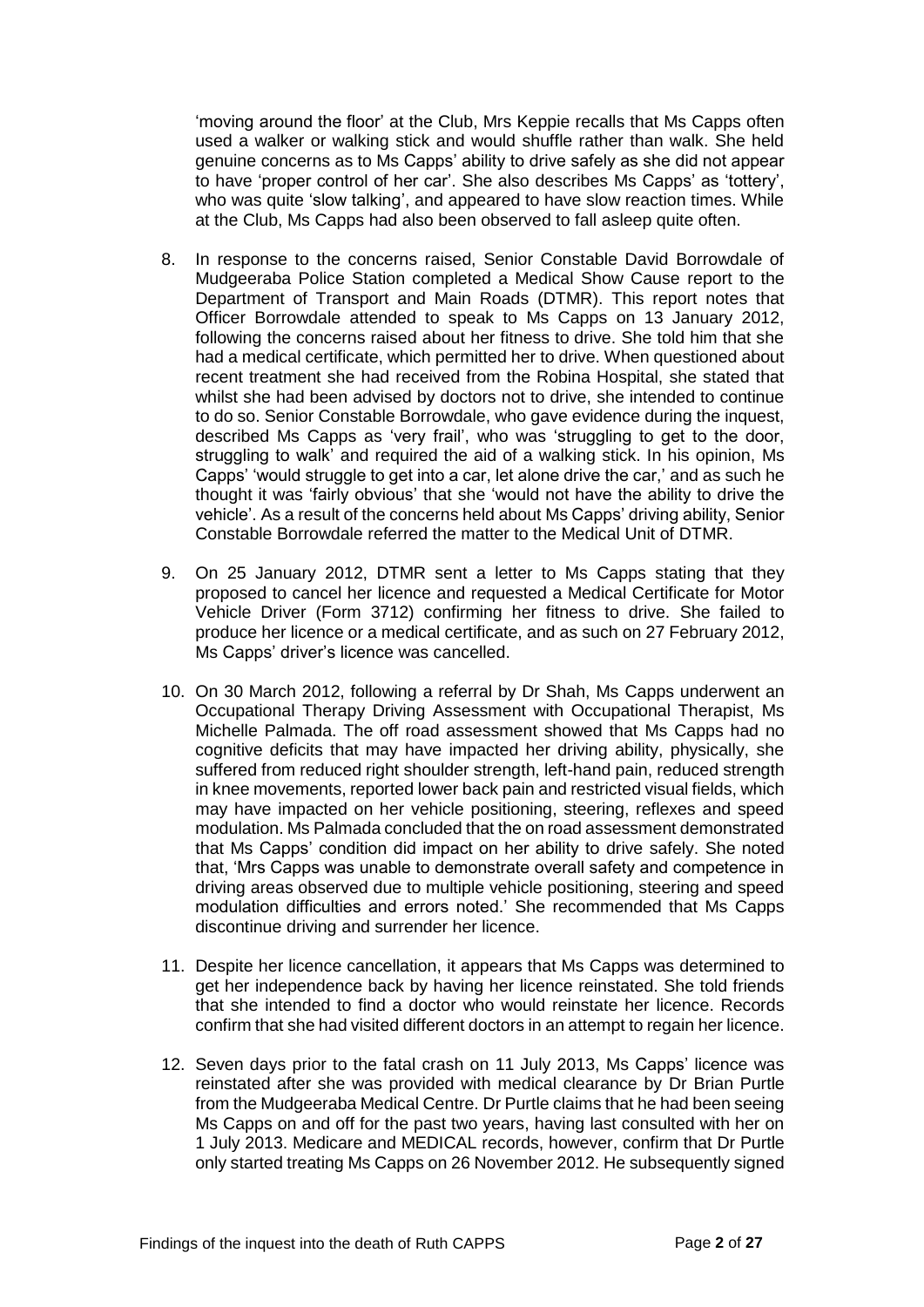'moving around the floor' at the Club, Mrs Keppie recalls that Ms Capps often used a walker or walking stick and would shuffle rather than walk. She held genuine concerns as to Ms Capps' ability to drive safely as she did not appear to have 'proper control of her car'. She also describes Ms Capps' as 'tottery', who was quite 'slow talking', and appeared to have slow reaction times. While at the Club, Ms Capps had also been observed to fall asleep quite often.

- 8. In response to the concerns raised, Senior Constable David Borrowdale of Mudgeeraba Police Station completed a Medical Show Cause report to the Department of Transport and Main Roads (DTMR). This report notes that Officer Borrowdale attended to speak to Ms Capps on 13 January 2012, following the concerns raised about her fitness to drive. She told him that she had a medical certificate, which permitted her to drive. When questioned about recent treatment she had received from the Robina Hospital, she stated that whilst she had been advised by doctors not to drive, she intended to continue to do so. Senior Constable Borrowdale, who gave evidence during the inquest, described Ms Capps as 'very frail', who was 'struggling to get to the door, struggling to walk' and required the aid of a walking stick. In his opinion, Ms Capps' 'would struggle to get into a car, let alone drive the car,' and as such he thought it was 'fairly obvious' that she 'would not have the ability to drive the vehicle'. As a result of the concerns held about Ms Capps' driving ability, Senior Constable Borrowdale referred the matter to the Medical Unit of DTMR.
- 9. On 25 January 2012, DTMR sent a letter to Ms Capps stating that they proposed to cancel her licence and requested a Medical Certificate for Motor Vehicle Driver (Form 3712) confirming her fitness to drive. She failed to produce her licence or a medical certificate, and as such on 27 February 2012, Ms Capps' driver's licence was cancelled.
- 10. On 30 March 2012, following a referral by Dr Shah, Ms Capps underwent an Occupational Therapy Driving Assessment with Occupational Therapist, Ms Michelle Palmada. The off road assessment showed that Ms Capps had no cognitive deficits that may have impacted her driving ability, physically, she suffered from reduced right shoulder strength, left-hand pain, reduced strength in knee movements, reported lower back pain and restricted visual fields, which may have impacted on her vehicle positioning, steering, reflexes and speed modulation. Ms Palmada concluded that the on road assessment demonstrated that Ms Capps' condition did impact on her ability to drive safely. She noted that, 'Mrs Capps was unable to demonstrate overall safety and competence in driving areas observed due to multiple vehicle positioning, steering and speed modulation difficulties and errors noted.' She recommended that Ms Capps discontinue driving and surrender her licence.
- 11. Despite her licence cancellation, it appears that Ms Capps was determined to get her independence back by having her licence reinstated. She told friends that she intended to find a doctor who would reinstate her licence. Records confirm that she had visited different doctors in an attempt to regain her licence.
- 12. Seven days prior to the fatal crash on 11 July 2013, Ms Capps' licence was reinstated after she was provided with medical clearance by Dr Brian Purtle from the Mudgeeraba Medical Centre. Dr Purtle claims that he had been seeing Ms Capps on and off for the past two years, having last consulted with her on 1 July 2013. Medicare and MEDICAL records, however, confirm that Dr Purtle only started treating Ms Capps on 26 November 2012. He subsequently signed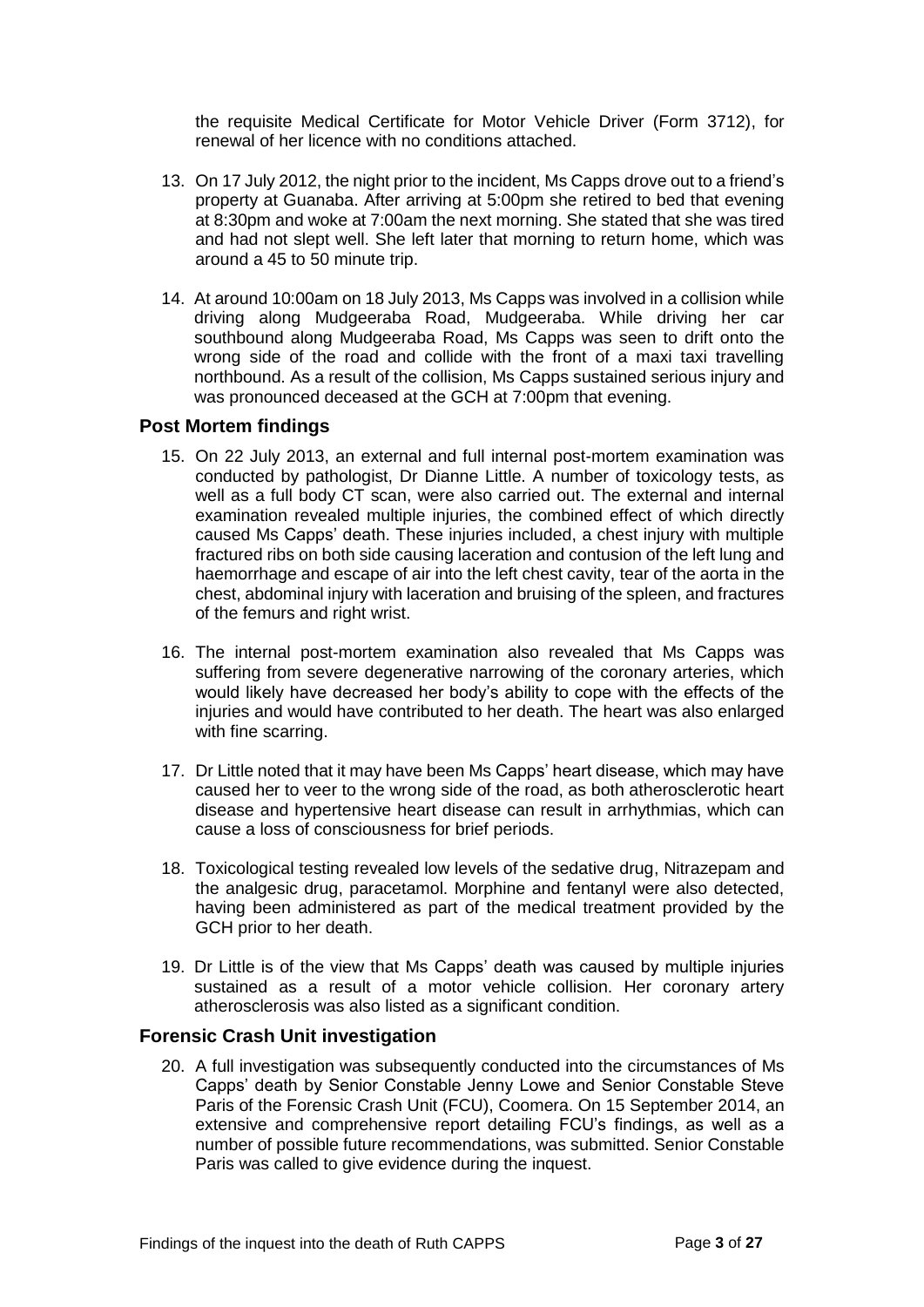the requisite Medical Certificate for Motor Vehicle Driver (Form 3712), for renewal of her licence with no conditions attached.

- 13. On 17 July 2012, the night prior to the incident, Ms Capps drove out to a friend's property at Guanaba. After arriving at 5:00pm she retired to bed that evening at 8:30pm and woke at 7:00am the next morning. She stated that she was tired and had not slept well. She left later that morning to return home, which was around a 45 to 50 minute trip.
- 14. At around 10:00am on 18 July 2013, Ms Capps was involved in a collision while driving along Mudgeeraba Road, Mudgeeraba. While driving her car southbound along Mudgeeraba Road, Ms Capps was seen to drift onto the wrong side of the road and collide with the front of a maxi taxi travelling northbound. As a result of the collision, Ms Capps sustained serious injury and was pronounced deceased at the GCH at 7:00pm that evening.

# <span id="page-4-0"></span>**Post Mortem findings**

- 15. On 22 July 2013, an external and full internal post-mortem examination was conducted by pathologist, Dr Dianne Little. A number of toxicology tests, as well as a full body CT scan, were also carried out. The external and internal examination revealed multiple injuries, the combined effect of which directly caused Ms Capps' death. These injuries included, a chest injury with multiple fractured ribs on both side causing laceration and contusion of the left lung and haemorrhage and escape of air into the left chest cavity, tear of the aorta in the chest, abdominal injury with laceration and bruising of the spleen, and fractures of the femurs and right wrist.
- 16. The internal post-mortem examination also revealed that Ms Capps was suffering from severe degenerative narrowing of the coronary arteries, which would likely have decreased her body's ability to cope with the effects of the injuries and would have contributed to her death. The heart was also enlarged with fine scarring.
- 17. Dr Little noted that it may have been Ms Capps' heart disease, which may have caused her to veer to the wrong side of the road, as both atherosclerotic heart disease and hypertensive heart disease can result in arrhythmias, which can cause a loss of consciousness for brief periods.
- 18. Toxicological testing revealed low levels of the sedative drug, Nitrazepam and the analgesic drug, paracetamol. Morphine and fentanyl were also detected, having been administered as part of the medical treatment provided by the GCH prior to her death.
- 19. Dr Little is of the view that Ms Capps' death was caused by multiple injuries sustained as a result of a motor vehicle collision. Her coronary artery atherosclerosis was also listed as a significant condition.

# <span id="page-4-1"></span>**Forensic Crash Unit investigation**

20. A full investigation was subsequently conducted into the circumstances of Ms Capps' death by Senior Constable Jenny Lowe and Senior Constable Steve Paris of the Forensic Crash Unit (FCU), Coomera. On 15 September 2014, an extensive and comprehensive report detailing FCU's findings, as well as a number of possible future recommendations, was submitted. Senior Constable Paris was called to give evidence during the inquest.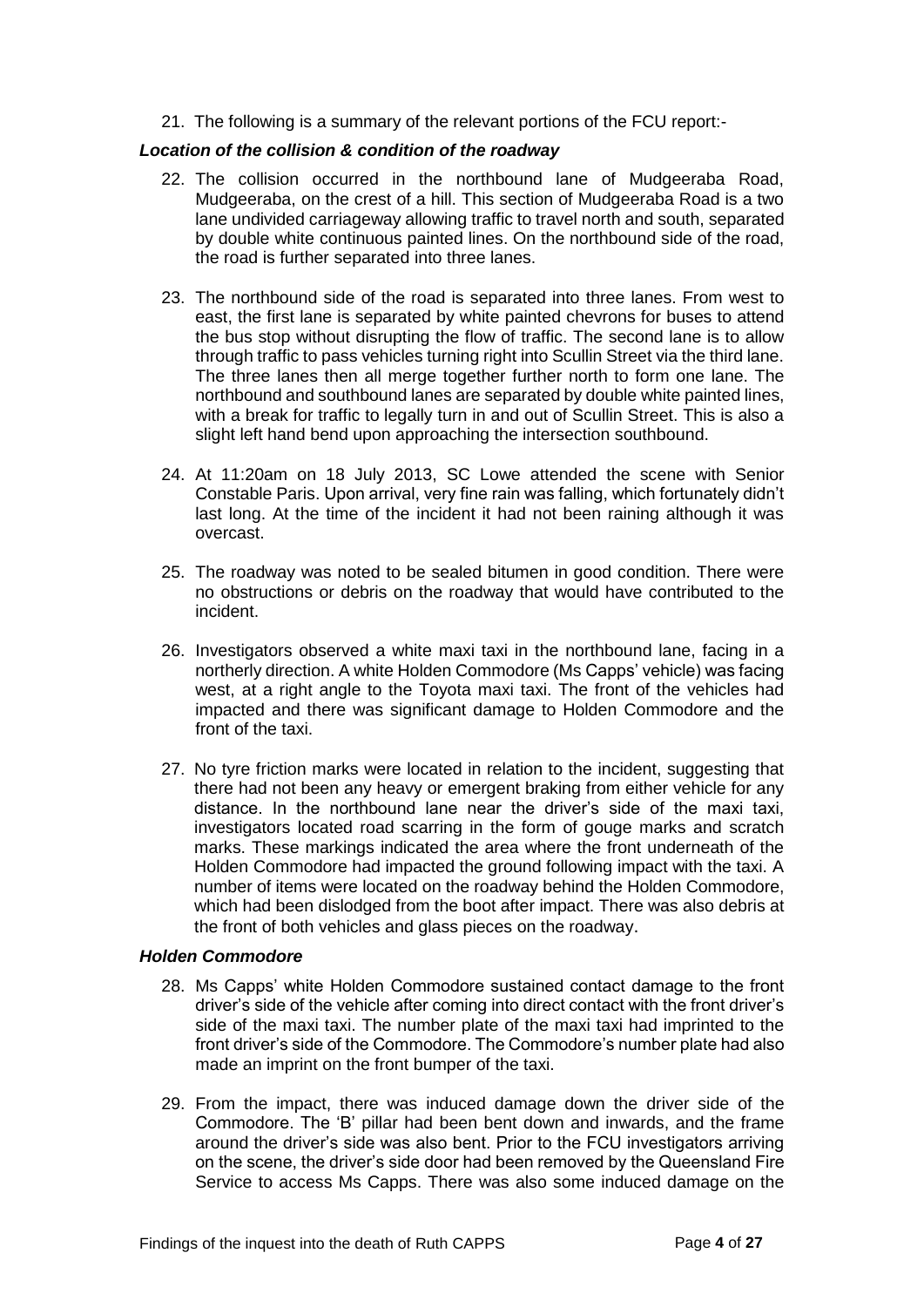21. The following is a summary of the relevant portions of the FCU report:-

#### *Location of the collision & condition of the roadway*

- 22. The collision occurred in the northbound lane of Mudgeeraba Road, Mudgeeraba, on the crest of a hill. This section of Mudgeeraba Road is a two lane undivided carriageway allowing traffic to travel north and south, separated by double white continuous painted lines. On the northbound side of the road, the road is further separated into three lanes.
- 23. The northbound side of the road is separated into three lanes. From west to east, the first lane is separated by white painted chevrons for buses to attend the bus stop without disrupting the flow of traffic. The second lane is to allow through traffic to pass vehicles turning right into Scullin Street via the third lane. The three lanes then all merge together further north to form one lane. The northbound and southbound lanes are separated by double white painted lines, with a break for traffic to legally turn in and out of Scullin Street. This is also a slight left hand bend upon approaching the intersection southbound.
- 24. At 11:20am on 18 July 2013, SC Lowe attended the scene with Senior Constable Paris. Upon arrival, very fine rain was falling, which fortunately didn't last long. At the time of the incident it had not been raining although it was overcast.
- 25. The roadway was noted to be sealed bitumen in good condition. There were no obstructions or debris on the roadway that would have contributed to the incident.
- 26. Investigators observed a white maxi taxi in the northbound lane, facing in a northerly direction. A white Holden Commodore (Ms Capps' vehicle) was facing west, at a right angle to the Toyota maxi taxi. The front of the vehicles had impacted and there was significant damage to Holden Commodore and the front of the taxi.
- 27. No tyre friction marks were located in relation to the incident, suggesting that there had not been any heavy or emergent braking from either vehicle for any distance. In the northbound lane near the driver's side of the maxi taxi, investigators located road scarring in the form of gouge marks and scratch marks. These markings indicated the area where the front underneath of the Holden Commodore had impacted the ground following impact with the taxi. A number of items were located on the roadway behind the Holden Commodore, which had been dislodged from the boot after impact. There was also debris at the front of both vehicles and glass pieces on the roadway.

# *Holden Commodore*

- 28. Ms Capps' white Holden Commodore sustained contact damage to the front driver's side of the vehicle after coming into direct contact with the front driver's side of the maxi taxi. The number plate of the maxi taxi had imprinted to the front driver's side of the Commodore. The Commodore's number plate had also made an imprint on the front bumper of the taxi.
- 29. From the impact, there was induced damage down the driver side of the Commodore. The 'B' pillar had been bent down and inwards, and the frame around the driver's side was also bent. Prior to the FCU investigators arriving on the scene, the driver's side door had been removed by the Queensland Fire Service to access Ms Capps. There was also some induced damage on the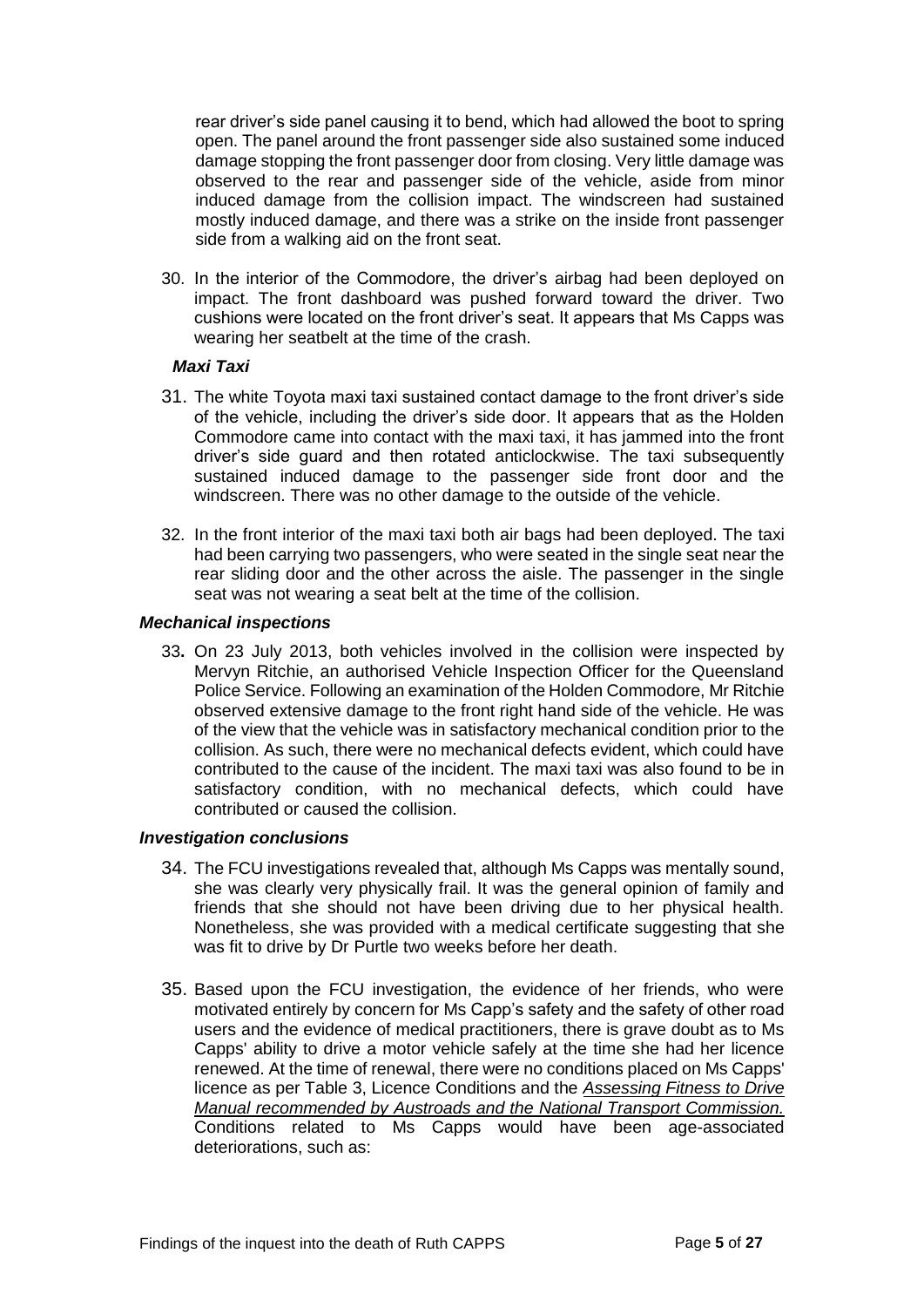rear driver's side panel causing it to bend, which had allowed the boot to spring open. The panel around the front passenger side also sustained some induced damage stopping the front passenger door from closing. Very little damage was observed to the rear and passenger side of the vehicle, aside from minor induced damage from the collision impact. The windscreen had sustained mostly induced damage, and there was a strike on the inside front passenger side from a walking aid on the front seat.

30. In the interior of the Commodore, the driver's airbag had been deployed on impact. The front dashboard was pushed forward toward the driver. Two cushions were located on the front driver's seat. It appears that Ms Capps was wearing her seatbelt at the time of the crash.

#### *Maxi Taxi*

- 31. The white Toyota maxi taxi sustained contact damage to the front driver's side of the vehicle, including the driver's side door. It appears that as the Holden Commodore came into contact with the maxi taxi, it has jammed into the front driver's side guard and then rotated anticlockwise. The taxi subsequently sustained induced damage to the passenger side front door and the windscreen. There was no other damage to the outside of the vehicle.
- 32. In the front interior of the maxi taxi both air bags had been deployed. The taxi had been carrying two passengers, who were seated in the single seat near the rear sliding door and the other across the aisle. The passenger in the single seat was not wearing a seat belt at the time of the collision.

#### *Mechanical inspections*

33**.** On 23 July 2013, both vehicles involved in the collision were inspected by Mervyn Ritchie, an authorised Vehicle Inspection Officer for the Queensland Police Service. Following an examination of the Holden Commodore, Mr Ritchie observed extensive damage to the front right hand side of the vehicle. He was of the view that the vehicle was in satisfactory mechanical condition prior to the collision. As such, there were no mechanical defects evident, which could have contributed to the cause of the incident. The maxi taxi was also found to be in satisfactory condition, with no mechanical defects, which could have contributed or caused the collision.

# *Investigation conclusions*

- 34. The FCU investigations revealed that, although Ms Capps was mentally sound, she was clearly very physically frail. It was the general opinion of family and friends that she should not have been driving due to her physical health. Nonetheless, she was provided with a medical certificate suggesting that she was fit to drive by Dr Purtle two weeks before her death.
- 35. Based upon the FCU investigation, the evidence of her friends, who were motivated entirely by concern for Ms Capp's safety and the safety of other road users and the evidence of medical practitioners, there is grave doubt as to Ms Capps' ability to drive a motor vehicle safely at the time she had her licence renewed. At the time of renewal, there were no conditions placed on Ms Capps' licence as per Table 3, Licence Conditions and the *Assessing Fitness to Drive Manual recommended by Austroads and the National Transport Commission.* Conditions related to Ms Capps would have been age-associated deteriorations, such as: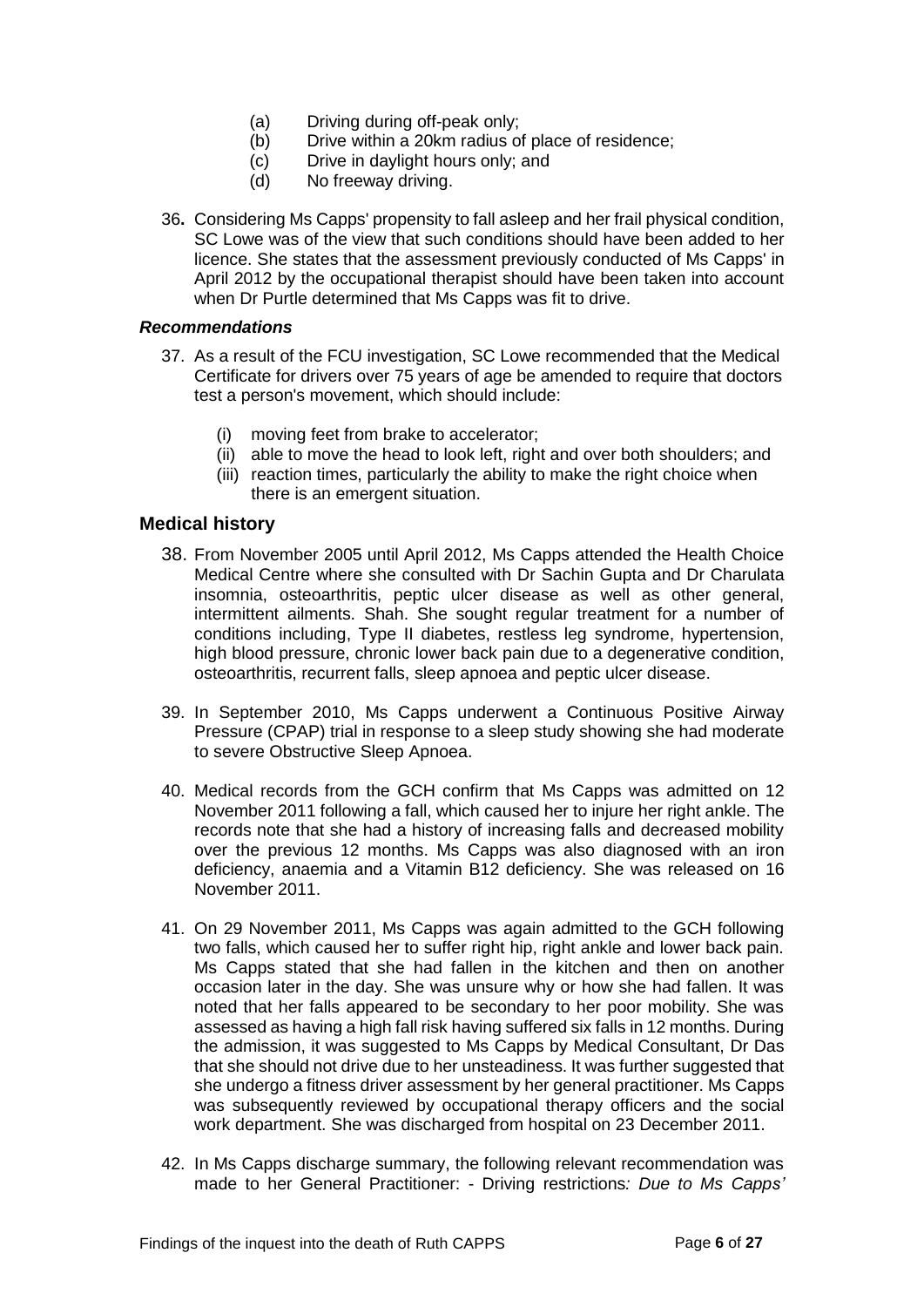- (a) Driving during off-peak only;
- (b) Drive within a 20km radius of place of residence;
- (c) Drive in daylight hours only; and<br>(d) No freeway driving.
- No freeway driving.
- 36**.** Considering Ms Capps' propensity to fall asleep and her frail physical condition, SC Lowe was of the view that such conditions should have been added to her licence. She states that the assessment previously conducted of Ms Capps' in April 2012 by the occupational therapist should have been taken into account when Dr Purtle determined that Ms Capps was fit to drive.

#### *Recommendations*

- 37. As a result of the FCU investigation, SC Lowe recommended that the Medical Certificate for drivers over 75 years of age be amended to require that doctors test a person's movement, which should include:
	- (i) moving feet from brake to accelerator;
	- (ii) able to move the head to look left, right and over both shoulders; and
	- (iii) reaction times, particularly the ability to make the right choice when there is an emergent situation.

# <span id="page-7-0"></span>**Medical history**

- 38. From November 2005 until April 2012, Ms Capps attended the Health Choice Medical Centre where she consulted with Dr Sachin Gupta and Dr Charulata insomnia, osteoarthritis, peptic ulcer disease as well as other general, intermittent ailments. Shah. She sought regular treatment for a number of conditions including, Type II diabetes, restless leg syndrome, hypertension, high blood pressure, chronic lower back pain due to a degenerative condition, osteoarthritis, recurrent falls, sleep apnoea and peptic ulcer disease.
- 39. In September 2010, Ms Capps underwent a Continuous Positive Airway Pressure (CPAP) trial in response to a sleep study showing she had moderate to severe Obstructive Sleep Apnoea.
- 40. Medical records from the GCH confirm that Ms Capps was admitted on 12 November 2011 following a fall, which caused her to injure her right ankle. The records note that she had a history of increasing falls and decreased mobility over the previous 12 months. Ms Capps was also diagnosed with an iron deficiency, anaemia and a Vitamin B12 deficiency. She was released on 16 November 2011.
- 41. On 29 November 2011, Ms Capps was again admitted to the GCH following two falls, which caused her to suffer right hip, right ankle and lower back pain. Ms Capps stated that she had fallen in the kitchen and then on another occasion later in the day. She was unsure why or how she had fallen. It was noted that her falls appeared to be secondary to her poor mobility. She was assessed as having a high fall risk having suffered six falls in 12 months. During the admission, it was suggested to Ms Capps by Medical Consultant, Dr Das that she should not drive due to her unsteadiness. It was further suggested that she undergo a fitness driver assessment by her general practitioner. Ms Capps was subsequently reviewed by occupational therapy officers and the social work department. She was discharged from hospital on 23 December 2011.
- 42. In Ms Capps discharge summary, the following relevant recommendation was made to her General Practitioner: - Driving restrictions*: Due to Ms Capps'*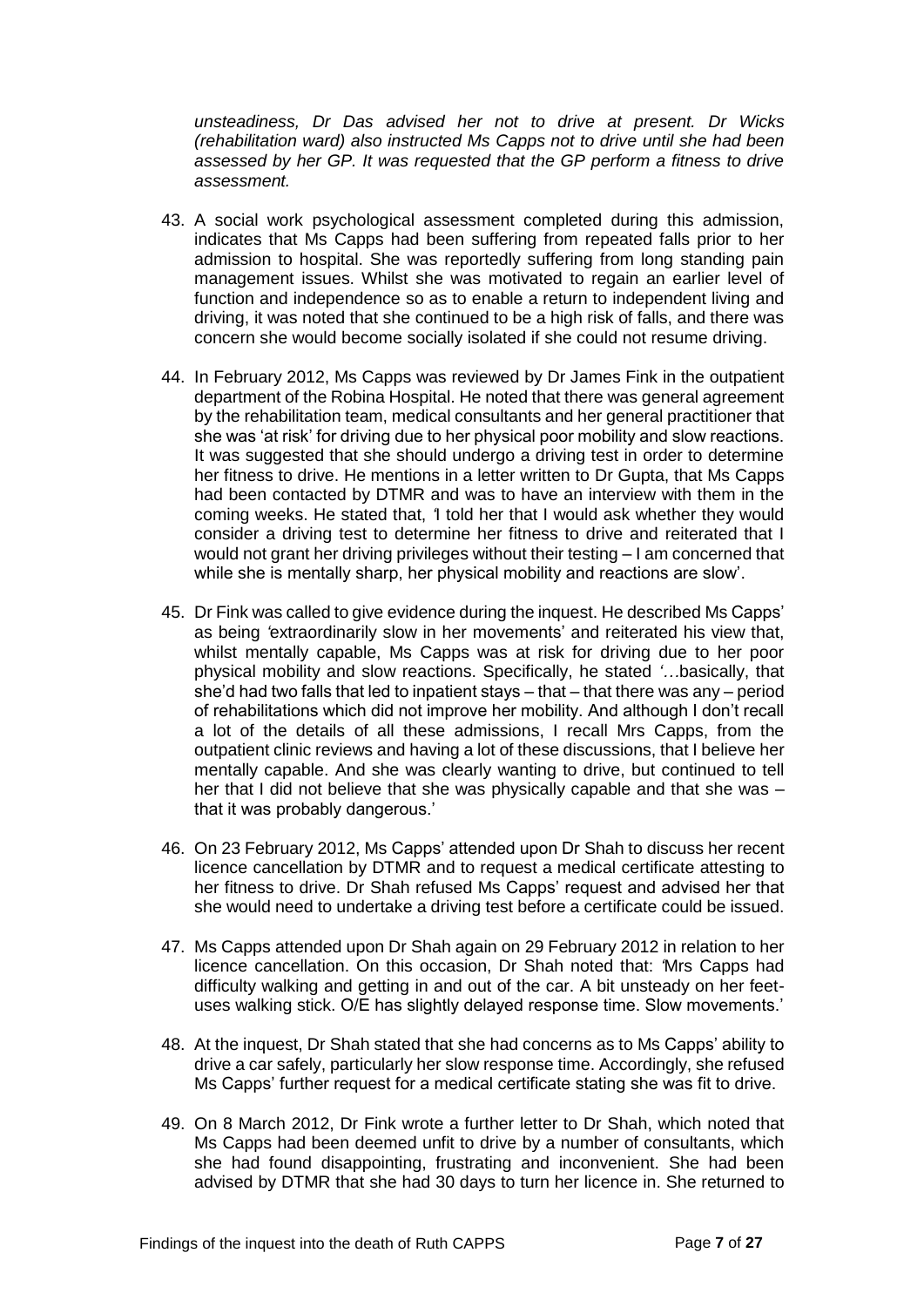*unsteadiness, Dr Das advised her not to drive at present. Dr Wicks (rehabilitation ward) also instructed Ms Capps not to drive until she had been assessed by her GP. It was requested that the GP perform a fitness to drive assessment.*

- 43. A social work psychological assessment completed during this admission, indicates that Ms Capps had been suffering from repeated falls prior to her admission to hospital. She was reportedly suffering from long standing pain management issues. Whilst she was motivated to regain an earlier level of function and independence so as to enable a return to independent living and driving, it was noted that she continued to be a high risk of falls, and there was concern she would become socially isolated if she could not resume driving.
- 44. In February 2012, Ms Capps was reviewed by Dr James Fink in the outpatient department of the Robina Hospital. He noted that there was general agreement by the rehabilitation team, medical consultants and her general practitioner that she was 'at risk' for driving due to her physical poor mobility and slow reactions. It was suggested that she should undergo a driving test in order to determine her fitness to drive. He mentions in a letter written to Dr Gupta, that Ms Capps had been contacted by DTMR and was to have an interview with them in the coming weeks. He stated that, *'*I told her that I would ask whether they would consider a driving test to determine her fitness to drive and reiterated that I would not grant her driving privileges without their testing – I am concerned that while she is mentally sharp, her physical mobility and reactions are slow'.
- 45. Dr Fink was called to give evidence during the inquest. He described Ms Capps' as being *'*extraordinarily slow in her movements' and reiterated his view that, whilst mentally capable, Ms Capps was at risk for driving due to her poor physical mobility and slow reactions. Specifically, he stated *'…*basically, that she'd had two falls that led to inpatient stays – that – that there was any – period of rehabilitations which did not improve her mobility. And although I don't recall a lot of the details of all these admissions, I recall Mrs Capps, from the outpatient clinic reviews and having a lot of these discussions, that I believe her mentally capable. And she was clearly wanting to drive, but continued to tell her that I did not believe that she was physically capable and that she was that it was probably dangerous.'
- 46. On 23 February 2012, Ms Capps' attended upon Dr Shah to discuss her recent licence cancellation by DTMR and to request a medical certificate attesting to her fitness to drive. Dr Shah refused Ms Capps' request and advised her that she would need to undertake a driving test before a certificate could be issued.
- 47. Ms Capps attended upon Dr Shah again on 29 February 2012 in relation to her licence cancellation. On this occasion, Dr Shah noted that: *'*Mrs Capps had difficulty walking and getting in and out of the car. A bit unsteady on her feetuses walking stick. O/E has slightly delayed response time. Slow movements.'
- 48. At the inquest, Dr Shah stated that she had concerns as to Ms Capps' ability to drive a car safely, particularly her slow response time. Accordingly, she refused Ms Capps' further request for a medical certificate stating she was fit to drive.
- 49. On 8 March 2012, Dr Fink wrote a further letter to Dr Shah, which noted that Ms Capps had been deemed unfit to drive by a number of consultants, which she had found disappointing, frustrating and inconvenient. She had been advised by DTMR that she had 30 days to turn her licence in. She returned to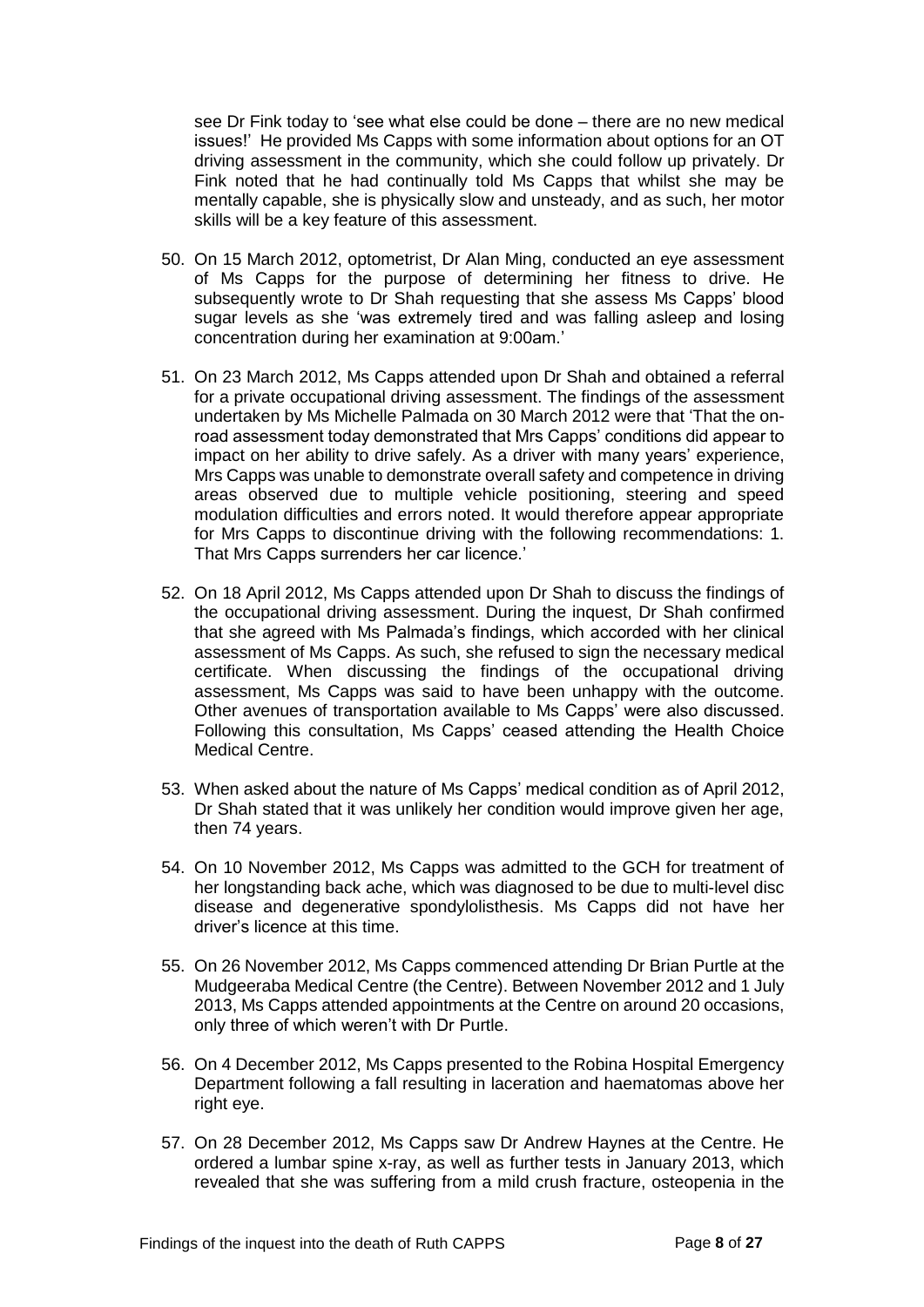see Dr Fink today to 'see what else could be done – there are no new medical issues!' He provided Ms Capps with some information about options for an OT driving assessment in the community, which she could follow up privately. Dr Fink noted that he had continually told Ms Capps that whilst she may be mentally capable, she is physically slow and unsteady, and as such, her motor skills will be a key feature of this assessment.

- 50. On 15 March 2012, optometrist, Dr Alan Ming, conducted an eye assessment of Ms Capps for the purpose of determining her fitness to drive. He subsequently wrote to Dr Shah requesting that she assess Ms Capps' blood sugar levels as she 'was extremely tired and was falling asleep and losing concentration during her examination at 9:00am.'
- 51. On 23 March 2012, Ms Capps attended upon Dr Shah and obtained a referral for a private occupational driving assessment. The findings of the assessment undertaken by Ms Michelle Palmada on 30 March 2012 were that 'That the onroad assessment today demonstrated that Mrs Capps' conditions did appear to impact on her ability to drive safely. As a driver with many years' experience, Mrs Capps was unable to demonstrate overall safety and competence in driving areas observed due to multiple vehicle positioning, steering and speed modulation difficulties and errors noted. It would therefore appear appropriate for Mrs Capps to discontinue driving with the following recommendations: 1. That Mrs Capps surrenders her car licence.'
- 52. On 18 April 2012, Ms Capps attended upon Dr Shah to discuss the findings of the occupational driving assessment. During the inquest, Dr Shah confirmed that she agreed with Ms Palmada's findings, which accorded with her clinical assessment of Ms Capps. As such, she refused to sign the necessary medical certificate. When discussing the findings of the occupational driving assessment, Ms Capps was said to have been unhappy with the outcome. Other avenues of transportation available to Ms Capps' were also discussed. Following this consultation, Ms Capps' ceased attending the Health Choice Medical Centre.
- 53. When asked about the nature of Ms Capps' medical condition as of April 2012, Dr Shah stated that it was unlikely her condition would improve given her age, then 74 years.
- 54. On 10 November 2012, Ms Capps was admitted to the GCH for treatment of her longstanding back ache, which was diagnosed to be due to multi-level disc disease and degenerative spondylolisthesis. Ms Capps did not have her driver's licence at this time.
- 55. On 26 November 2012, Ms Capps commenced attending Dr Brian Purtle at the Mudgeeraba Medical Centre (the Centre). Between November 2012 and 1 July 2013, Ms Capps attended appointments at the Centre on around 20 occasions, only three of which weren't with Dr Purtle.
- 56. On 4 December 2012, Ms Capps presented to the Robina Hospital Emergency Department following a fall resulting in laceration and haematomas above her right eye.
- 57. On 28 December 2012, Ms Capps saw Dr Andrew Haynes at the Centre. He ordered a lumbar spine x-ray, as well as further tests in January 2013, which revealed that she was suffering from a mild crush fracture, osteopenia in the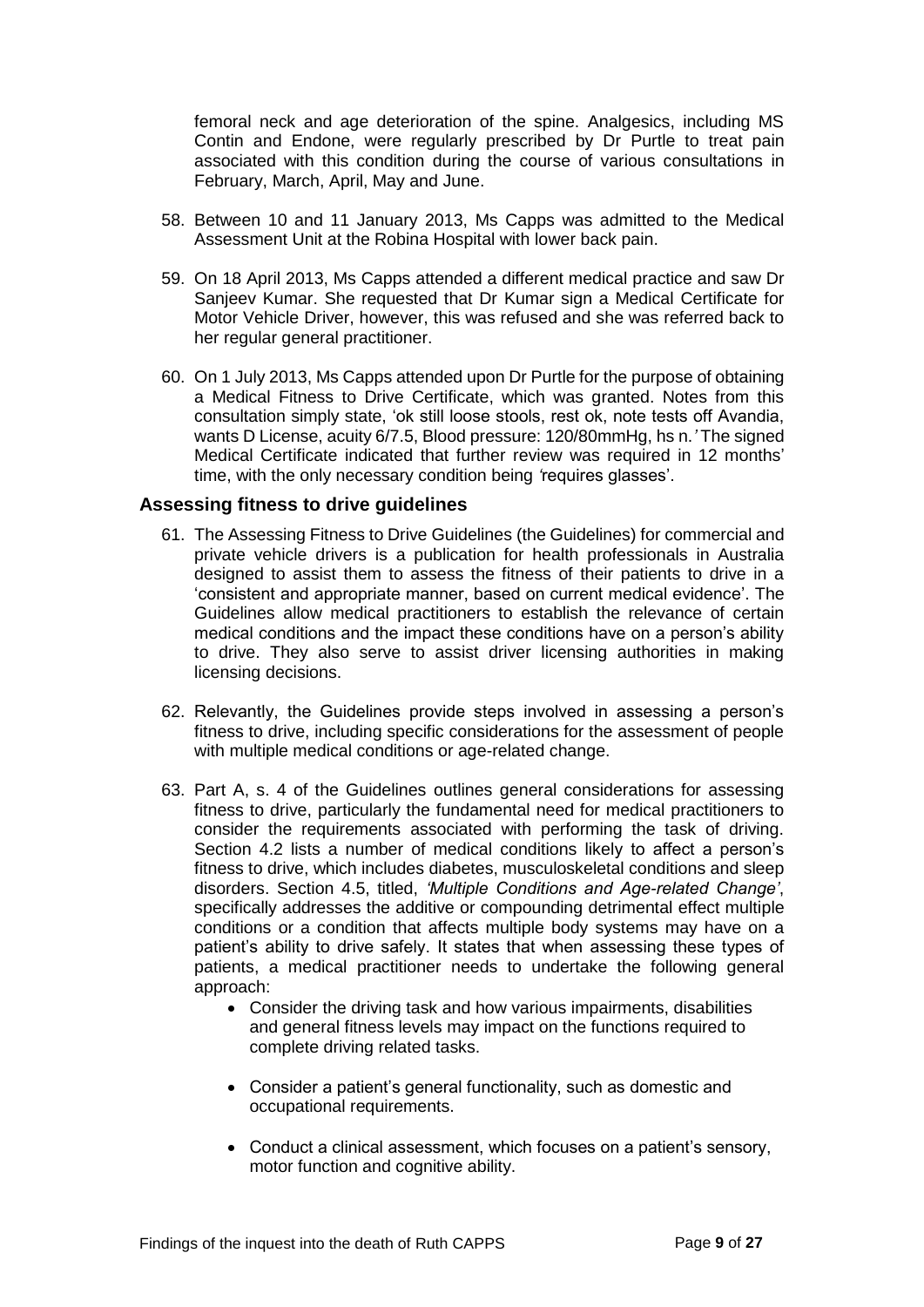femoral neck and age deterioration of the spine. Analgesics, including MS Contin and Endone, were regularly prescribed by Dr Purtle to treat pain associated with this condition during the course of various consultations in February, March, April, May and June.

- 58. Between 10 and 11 January 2013, Ms Capps was admitted to the Medical Assessment Unit at the Robina Hospital with lower back pain.
- 59. On 18 April 2013, Ms Capps attended a different medical practice and saw Dr Sanjeev Kumar. She requested that Dr Kumar sign a Medical Certificate for Motor Vehicle Driver, however, this was refused and she was referred back to her regular general practitioner.
- 60. On 1 July 2013, Ms Capps attended upon Dr Purtle for the purpose of obtaining a Medical Fitness to Drive Certificate, which was granted. Notes from this consultation simply state, 'ok still loose stools, rest ok, note tests off Avandia, wants D License, acuity 6/7.5, Blood pressure: 120/80mmHg, hs n.*'* The signed Medical Certificate indicated that further review was required in 12 months' time, with the only necessary condition being *'*requires glasses'.

#### <span id="page-10-0"></span>**Assessing fitness to drive guidelines**

- 61. The Assessing Fitness to Drive Guidelines (the Guidelines) for commercial and private vehicle drivers is a publication for health professionals in Australia designed to assist them to assess the fitness of their patients to drive in a 'consistent and appropriate manner, based on current medical evidence'. The Guidelines allow medical practitioners to establish the relevance of certain medical conditions and the impact these conditions have on a person's ability to drive. They also serve to assist driver licensing authorities in making licensing decisions.
- 62. Relevantly, the Guidelines provide steps involved in assessing a person's fitness to drive, including specific considerations for the assessment of people with multiple medical conditions or age-related change.
- 63. Part A, s. 4 of the Guidelines outlines general considerations for assessing fitness to drive, particularly the fundamental need for medical practitioners to consider the requirements associated with performing the task of driving. Section 4.2 lists a number of medical conditions likely to affect a person's fitness to drive, which includes diabetes, musculoskeletal conditions and sleep disorders. Section 4.5, titled, *'Multiple Conditions and Age-related Change'*, specifically addresses the additive or compounding detrimental effect multiple conditions or a condition that affects multiple body systems may have on a patient's ability to drive safely. It states that when assessing these types of patients, a medical practitioner needs to undertake the following general approach:
	- Consider the driving task and how various impairments, disabilities and general fitness levels may impact on the functions required to complete driving related tasks.
	- Consider a patient's general functionality, such as domestic and occupational requirements.
	- Conduct a clinical assessment, which focuses on a patient's sensory, motor function and cognitive ability.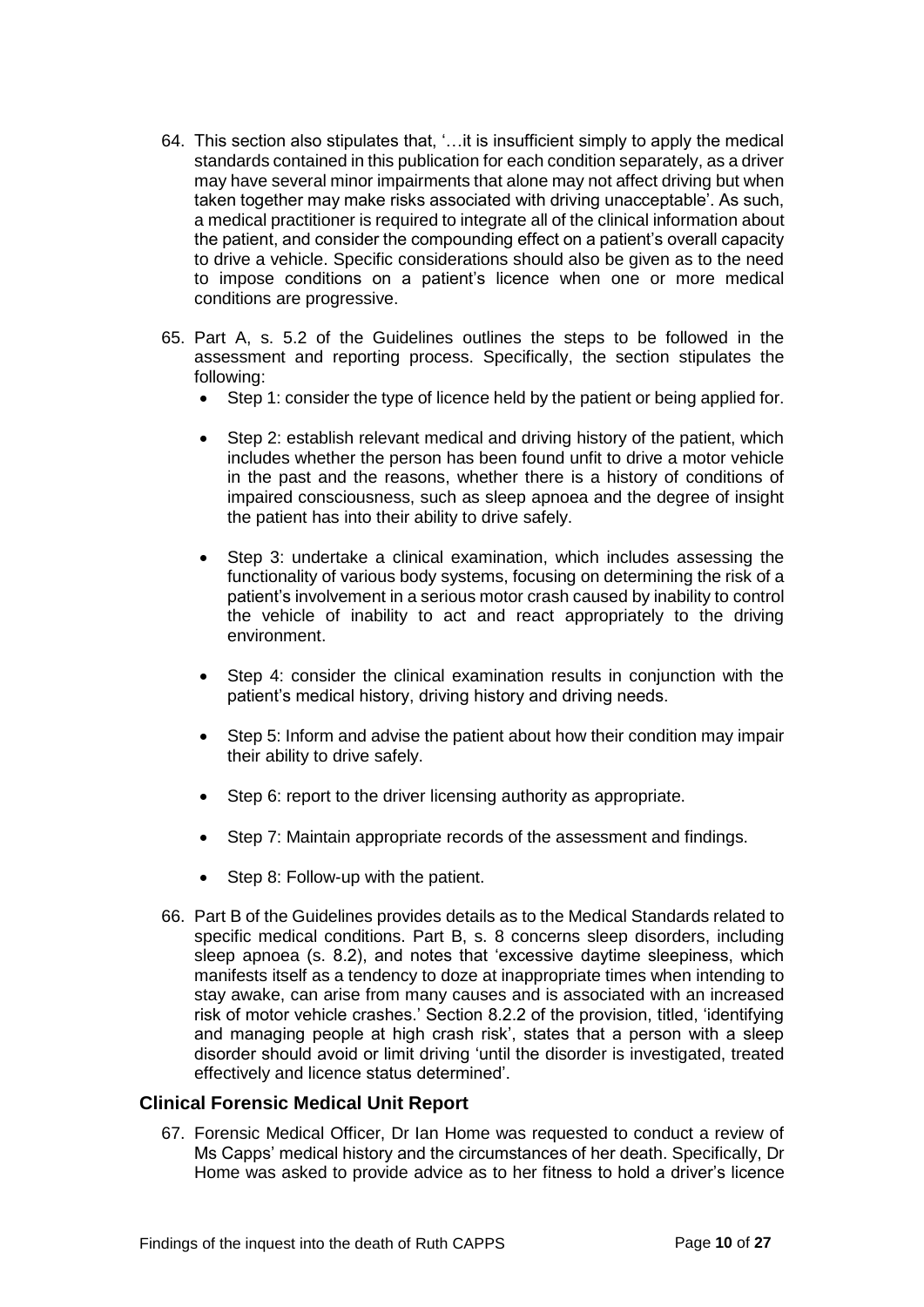- 64. This section also stipulates that, '…it is insufficient simply to apply the medical standards contained in this publication for each condition separately, as a driver may have several minor impairments that alone may not affect driving but when taken together may make risks associated with driving unacceptable'. As such, a medical practitioner is required to integrate all of the clinical information about the patient, and consider the compounding effect on a patient's overall capacity to drive a vehicle. Specific considerations should also be given as to the need to impose conditions on a patient's licence when one or more medical conditions are progressive.
- 65. Part A, s. 5.2 of the Guidelines outlines the steps to be followed in the assessment and reporting process. Specifically, the section stipulates the following:
	- Step 1: consider the type of licence held by the patient or being applied for.
	- Step 2: establish relevant medical and driving history of the patient, which includes whether the person has been found unfit to drive a motor vehicle in the past and the reasons, whether there is a history of conditions of impaired consciousness, such as sleep apnoea and the degree of insight the patient has into their ability to drive safely.
	- Step 3: undertake a clinical examination, which includes assessing the functionality of various body systems, focusing on determining the risk of a patient's involvement in a serious motor crash caused by inability to control the vehicle of inability to act and react appropriately to the driving environment.
	- Step 4: consider the clinical examination results in conjunction with the patient's medical history, driving history and driving needs.
	- Step 5: Inform and advise the patient about how their condition may impair their ability to drive safely.
	- Step 6: report to the driver licensing authority as appropriate.
	- Step 7: Maintain appropriate records of the assessment and findings.
	- Step 8: Follow-up with the patient.
- 66. Part B of the Guidelines provides details as to the Medical Standards related to specific medical conditions. Part B, s. 8 concerns sleep disorders, including sleep apnoea (s. 8.2), and notes that 'excessive daytime sleepiness, which manifests itself as a tendency to doze at inappropriate times when intending to stay awake, can arise from many causes and is associated with an increased risk of motor vehicle crashes.' Section 8.2.2 of the provision, titled, 'identifying and managing people at high crash risk', states that a person with a sleep disorder should avoid or limit driving 'until the disorder is investigated, treated effectively and licence status determined'.

# <span id="page-11-0"></span>**Clinical Forensic Medical Unit Report**

67. Forensic Medical Officer, Dr Ian Home was requested to conduct a review of Ms Capps' medical history and the circumstances of her death. Specifically, Dr Home was asked to provide advice as to her fitness to hold a driver's licence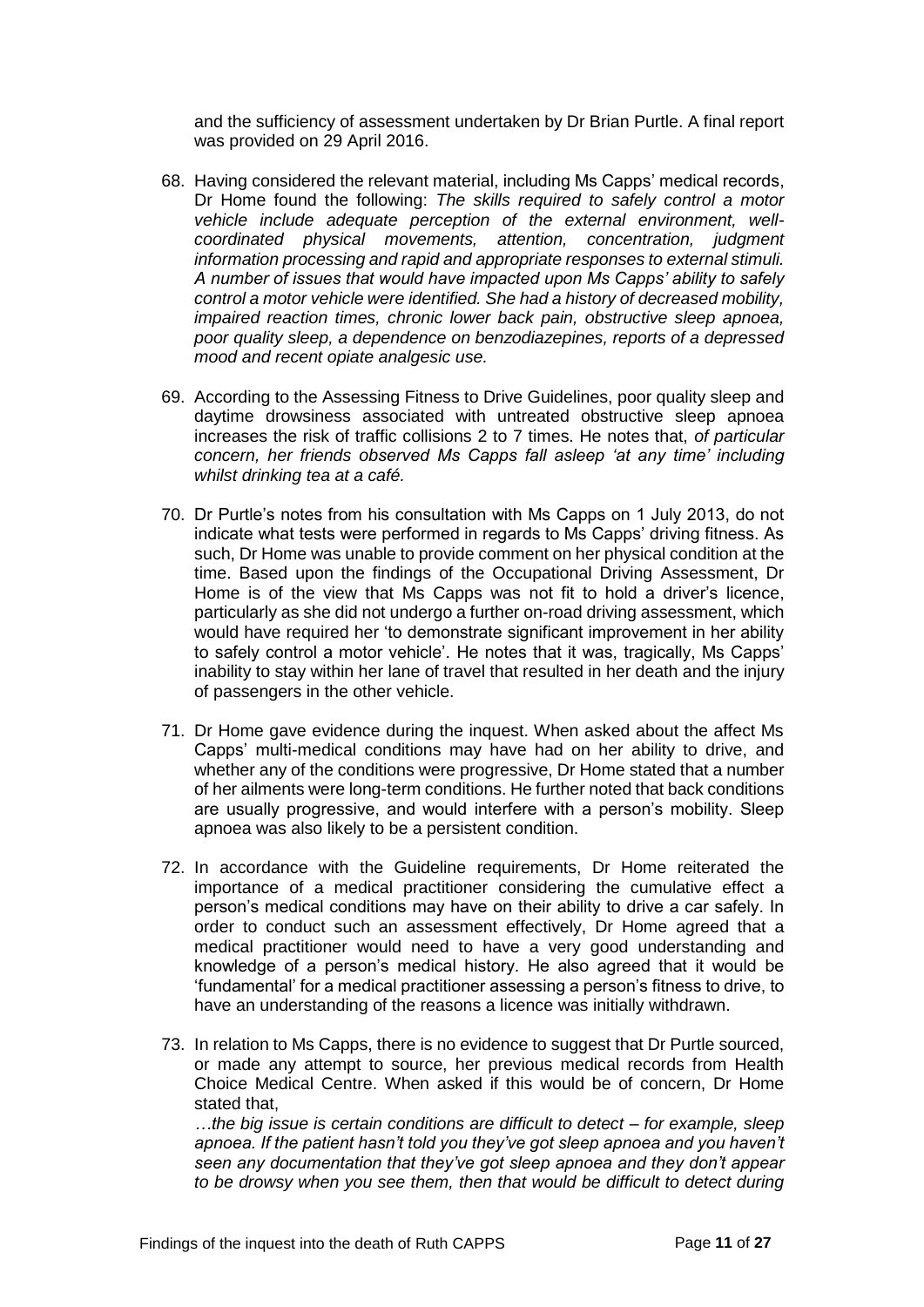and the sufficiency of assessment undertaken by Dr Brian Purtle. A final report was provided on 29 April 2016.

- 68. Having considered the relevant material, including Ms Capps' medical records, Dr Home found the following: *The skills required to safely control a motor vehicle include adequate perception of the external environment, wellcoordinated physical movements, attention, concentration, judgment information processing and rapid and appropriate responses to external stimuli. A number of issues that would have impacted upon Ms Capps' ability to safely control a motor vehicle were identified. She had a history of decreased mobility, impaired reaction times, chronic lower back pain, obstructive sleep apnoea, poor quality sleep, a dependence on benzodiazepines, reports of a depressed mood and recent opiate analgesic use.*
- 69. According to the Assessing Fitness to Drive Guidelines, poor quality sleep and daytime drowsiness associated with untreated obstructive sleep apnoea increases the risk of traffic collisions 2 to 7 times. He notes that, *of particular concern, her friends observed Ms Capps fall asleep 'at any time' including whilst drinking tea at a café.*
- 70. Dr Purtle's notes from his consultation with Ms Capps on 1 July 2013, do not indicate what tests were performed in regards to Ms Capps' driving fitness. As such, Dr Home was unable to provide comment on her physical condition at the time. Based upon the findings of the Occupational Driving Assessment, Dr Home is of the view that Ms Capps was not fit to hold a driver's licence, particularly as she did not undergo a further on-road driving assessment, which would have required her 'to demonstrate significant improvement in her ability to safely control a motor vehicle'. He notes that it was, tragically, Ms Capps' inability to stay within her lane of travel that resulted in her death and the injury of passengers in the other vehicle.
- 71. Dr Home gave evidence during the inquest. When asked about the affect Ms Capps' multi-medical conditions may have had on her ability to drive, and whether any of the conditions were progressive, Dr Home stated that a number of her ailments were long-term conditions. He further noted that back conditions are usually progressive, and would interfere with a person's mobility. Sleep apnoea was also likely to be a persistent condition.
- 72. In accordance with the Guideline requirements, Dr Home reiterated the importance of a medical practitioner considering the cumulative effect a person's medical conditions may have on their ability to drive a car safely. In order to conduct such an assessment effectively, Dr Home agreed that a medical practitioner would need to have a very good understanding and knowledge of a person's medical history. He also agreed that it would be 'fundamental' for a medical practitioner assessing a person's fitness to drive, to have an understanding of the reasons a licence was initially withdrawn.
- 73. In relation to Ms Capps, there is no evidence to suggest that Dr Purtle sourced, or made any attempt to source, her previous medical records from Health Choice Medical Centre. When asked if this would be of concern, Dr Home stated that,

*…the big issue is certain conditions are difficult to detect – for example, sleep apnoea. If the patient hasn't told you they've got sleep apnoea and you haven't seen any documentation that they've got sleep apnoea and they don't appear to be drowsy when you see them, then that would be difficult to detect during*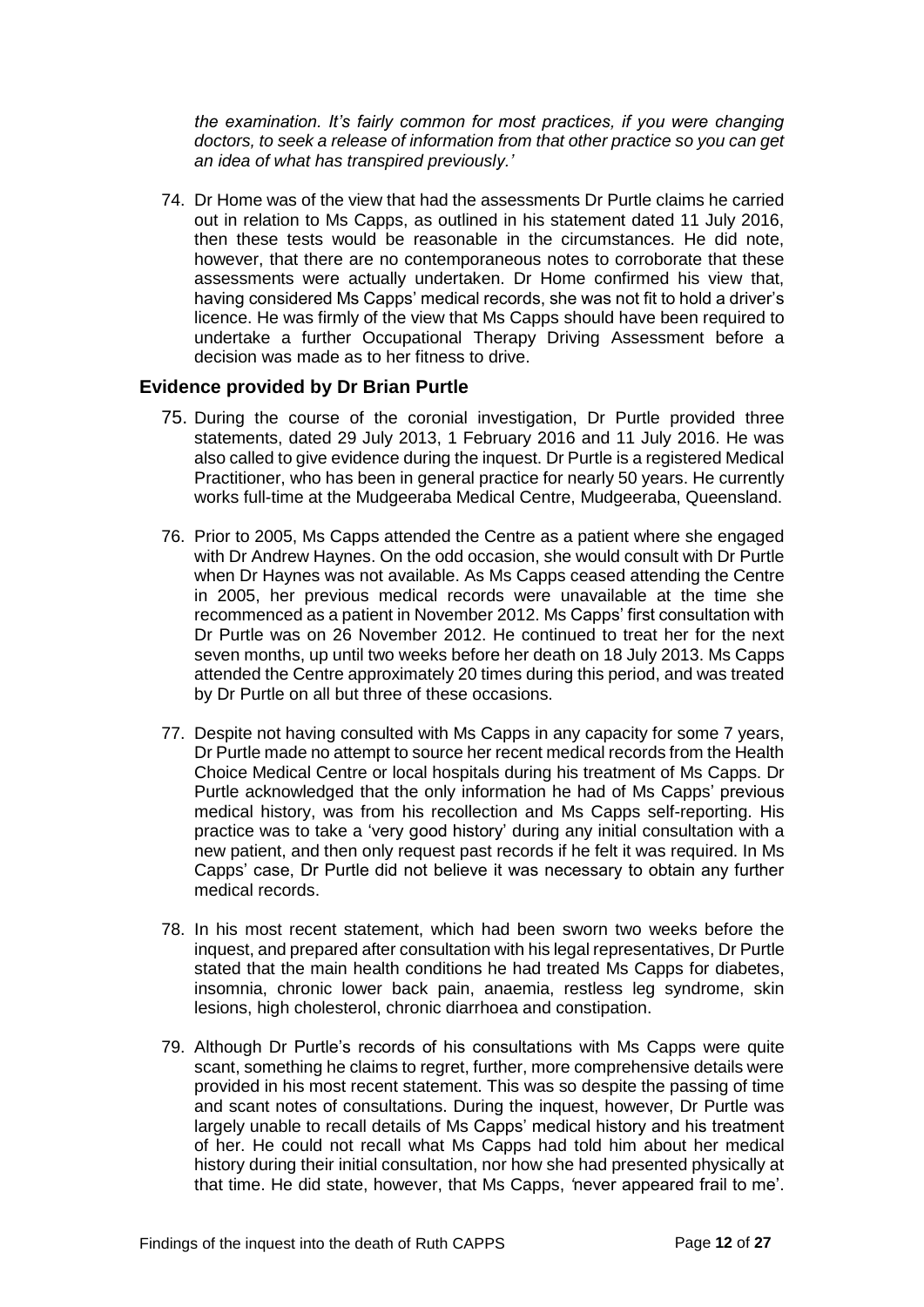*the examination. It's fairly common for most practices, if you were changing doctors, to seek a release of information from that other practice so you can get an idea of what has transpired previously.'* 

74. Dr Home was of the view that had the assessments Dr Purtle claims he carried out in relation to Ms Capps, as outlined in his statement dated 11 July 2016, then these tests would be reasonable in the circumstances. He did note, however, that there are no contemporaneous notes to corroborate that these assessments were actually undertaken. Dr Home confirmed his view that, having considered Ms Capps' medical records, she was not fit to hold a driver's licence. He was firmly of the view that Ms Capps should have been required to undertake a further Occupational Therapy Driving Assessment before a decision was made as to her fitness to drive.

# <span id="page-13-0"></span>**Evidence provided by Dr Brian Purtle**

- 75. During the course of the coronial investigation, Dr Purtle provided three statements, dated 29 July 2013, 1 February 2016 and 11 July 2016. He was also called to give evidence during the inquest. Dr Purtle is a registered Medical Practitioner, who has been in general practice for nearly 50 years. He currently works full-time at the Mudgeeraba Medical Centre, Mudgeeraba, Queensland.
- 76. Prior to 2005, Ms Capps attended the Centre as a patient where she engaged with Dr Andrew Haynes. On the odd occasion, she would consult with Dr Purtle when Dr Haynes was not available. As Ms Capps ceased attending the Centre in 2005, her previous medical records were unavailable at the time she recommenced as a patient in November 2012. Ms Capps' first consultation with Dr Purtle was on 26 November 2012. He continued to treat her for the next seven months, up until two weeks before her death on 18 July 2013. Ms Capps attended the Centre approximately 20 times during this period, and was treated by Dr Purtle on all but three of these occasions.
- 77. Despite not having consulted with Ms Capps in any capacity for some 7 years, Dr Purtle made no attempt to source her recent medical records from the Health Choice Medical Centre or local hospitals during his treatment of Ms Capps. Dr Purtle acknowledged that the only information he had of Ms Capps' previous medical history, was from his recollection and Ms Capps self-reporting. His practice was to take a 'very good history' during any initial consultation with a new patient, and then only request past records if he felt it was required. In Ms Capps' case, Dr Purtle did not believe it was necessary to obtain any further medical records.
- 78. In his most recent statement, which had been sworn two weeks before the inquest, and prepared after consultation with his legal representatives, Dr Purtle stated that the main health conditions he had treated Ms Capps for diabetes, insomnia, chronic lower back pain, anaemia, restless leg syndrome, skin lesions, high cholesterol, chronic diarrhoea and constipation.
- 79. Although Dr Purtle's records of his consultations with Ms Capps were quite scant, something he claims to regret, further, more comprehensive details were provided in his most recent statement. This was so despite the passing of time and scant notes of consultations. During the inquest, however, Dr Purtle was largely unable to recall details of Ms Capps' medical history and his treatment of her. He could not recall what Ms Capps had told him about her medical history during their initial consultation, nor how she had presented physically at that time. He did state, however, that Ms Capps, *'*never appeared frail to me'.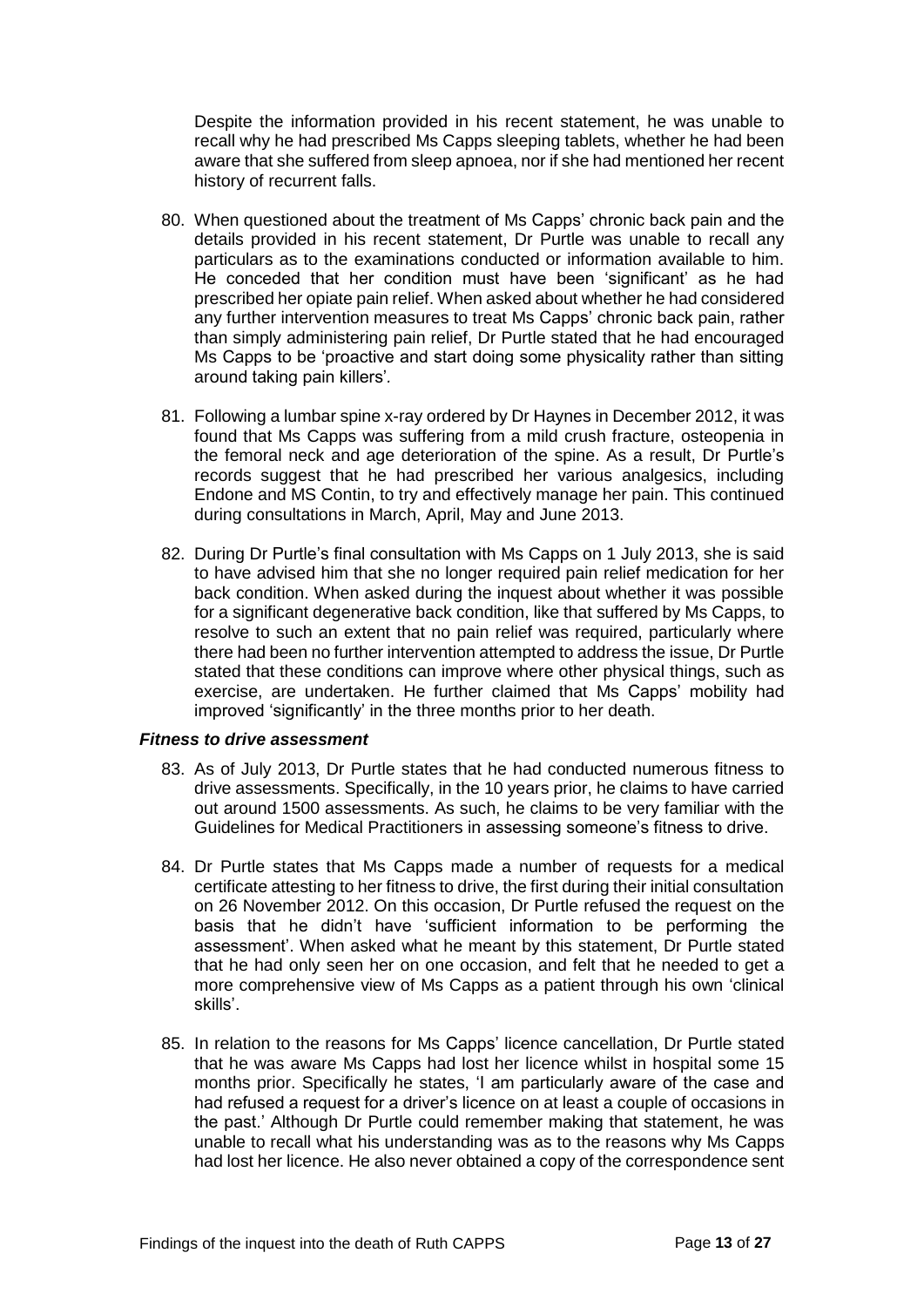Despite the information provided in his recent statement, he was unable to recall why he had prescribed Ms Capps sleeping tablets, whether he had been aware that she suffered from sleep apnoea, nor if she had mentioned her recent history of recurrent falls.

- 80. When questioned about the treatment of Ms Capps' chronic back pain and the details provided in his recent statement, Dr Purtle was unable to recall any particulars as to the examinations conducted or information available to him. He conceded that her condition must have been 'significant' as he had prescribed her opiate pain relief. When asked about whether he had considered any further intervention measures to treat Ms Capps' chronic back pain, rather than simply administering pain relief, Dr Purtle stated that he had encouraged Ms Capps to be 'proactive and start doing some physicality rather than sitting around taking pain killers'*.*
- 81. Following a lumbar spine x-ray ordered by Dr Haynes in December 2012, it was found that Ms Capps was suffering from a mild crush fracture, osteopenia in the femoral neck and age deterioration of the spine. As a result, Dr Purtle's records suggest that he had prescribed her various analgesics, including Endone and MS Contin, to try and effectively manage her pain. This continued during consultations in March, April, May and June 2013.
- 82. During Dr Purtle's final consultation with Ms Capps on 1 July 2013, she is said to have advised him that she no longer required pain relief medication for her back condition. When asked during the inquest about whether it was possible for a significant degenerative back condition, like that suffered by Ms Capps, to resolve to such an extent that no pain relief was required, particularly where there had been no further intervention attempted to address the issue, Dr Purtle stated that these conditions can improve where other physical things, such as exercise, are undertaken. He further claimed that Ms Capps' mobility had improved 'significantly' in the three months prior to her death.

#### *Fitness to drive assessment*

- 83. As of July 2013, Dr Purtle states that he had conducted numerous fitness to drive assessments. Specifically, in the 10 years prior, he claims to have carried out around 1500 assessments. As such, he claims to be very familiar with the Guidelines for Medical Practitioners in assessing someone's fitness to drive.
- 84. Dr Purtle states that Ms Capps made a number of requests for a medical certificate attesting to her fitness to drive, the first during their initial consultation on 26 November 2012. On this occasion, Dr Purtle refused the request on the basis that he didn't have 'sufficient information to be performing the assessment'. When asked what he meant by this statement, Dr Purtle stated that he had only seen her on one occasion, and felt that he needed to get a more comprehensive view of Ms Capps as a patient through his own 'clinical skills'.
- 85. In relation to the reasons for Ms Capps' licence cancellation, Dr Purtle stated that he was aware Ms Capps had lost her licence whilst in hospital some 15 months prior. Specifically he states, 'I am particularly aware of the case and had refused a request for a driver's licence on at least a couple of occasions in the past.' Although Dr Purtle could remember making that statement, he was unable to recall what his understanding was as to the reasons why Ms Capps had lost her licence. He also never obtained a copy of the correspondence sent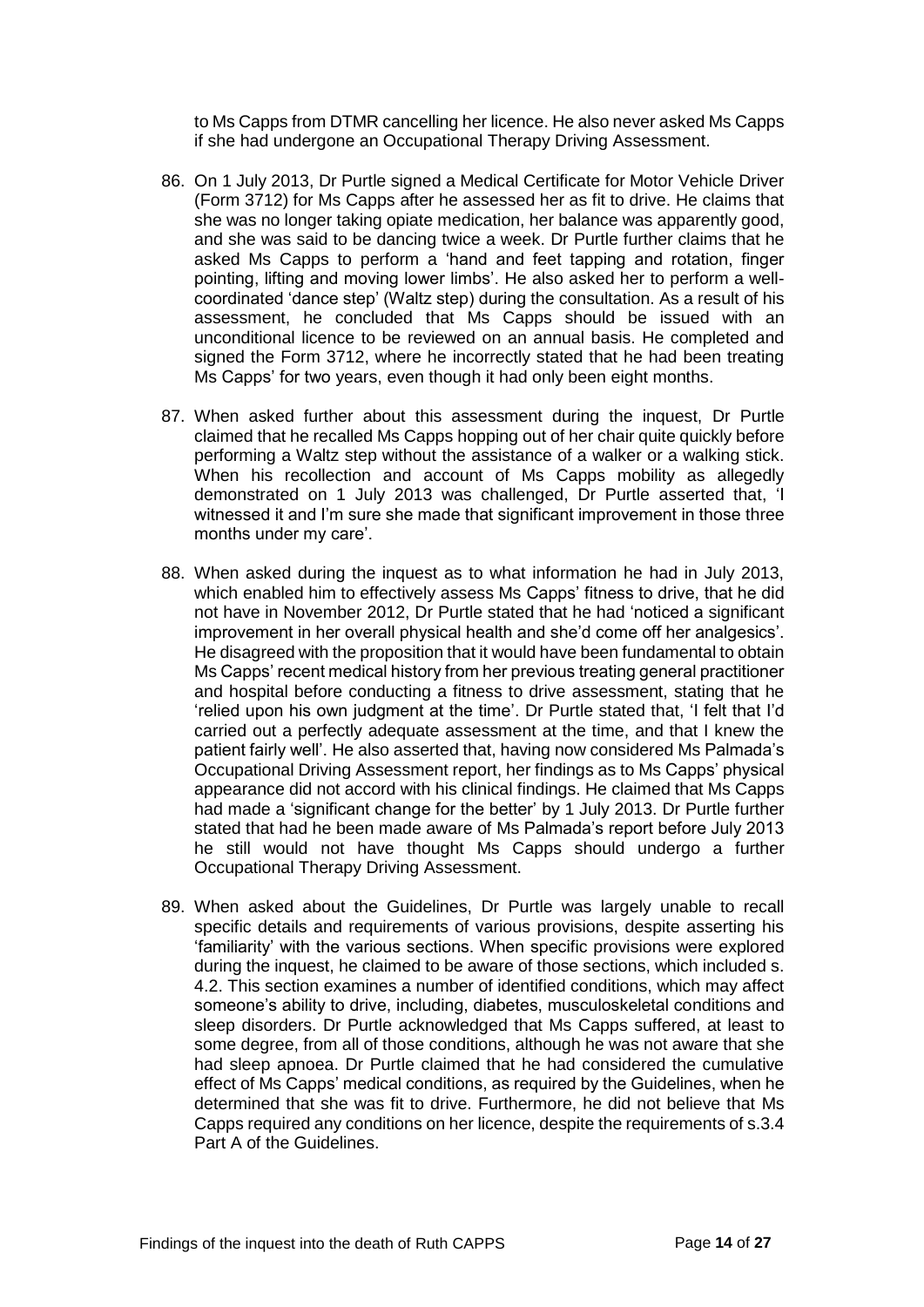to Ms Capps from DTMR cancelling her licence. He also never asked Ms Capps if she had undergone an Occupational Therapy Driving Assessment.

- 86. On 1 July 2013, Dr Purtle signed a Medical Certificate for Motor Vehicle Driver (Form 3712) for Ms Capps after he assessed her as fit to drive. He claims that she was no longer taking opiate medication, her balance was apparently good, and she was said to be dancing twice a week. Dr Purtle further claims that he asked Ms Capps to perform a 'hand and feet tapping and rotation, finger pointing, lifting and moving lower limbs'. He also asked her to perform a wellcoordinated 'dance step' (Waltz step) during the consultation. As a result of his assessment, he concluded that Ms Capps should be issued with an unconditional licence to be reviewed on an annual basis. He completed and signed the Form 3712, where he incorrectly stated that he had been treating Ms Capps' for two years, even though it had only been eight months.
- 87. When asked further about this assessment during the inquest, Dr Purtle claimed that he recalled Ms Capps hopping out of her chair quite quickly before performing a Waltz step without the assistance of a walker or a walking stick. When his recollection and account of Ms Capps mobility as allegedly demonstrated on 1 July 2013 was challenged, Dr Purtle asserted that, 'I witnessed it and I'm sure she made that significant improvement in those three months under my care'.
- 88. When asked during the inquest as to what information he had in July 2013, which enabled him to effectively assess Ms Capps' fitness to drive, that he did not have in November 2012, Dr Purtle stated that he had 'noticed a significant improvement in her overall physical health and she'd come off her analgesics'. He disagreed with the proposition that it would have been fundamental to obtain Ms Capps' recent medical history from her previous treating general practitioner and hospital before conducting a fitness to drive assessment, stating that he 'relied upon his own judgment at the time'. Dr Purtle stated that, 'I felt that I'd carried out a perfectly adequate assessment at the time, and that I knew the patient fairly well'. He also asserted that, having now considered Ms Palmada's Occupational Driving Assessment report, her findings as to Ms Capps' physical appearance did not accord with his clinical findings. He claimed that Ms Capps had made a 'significant change for the better' by 1 July 2013. Dr Purtle further stated that had he been made aware of Ms Palmada's report before July 2013 he still would not have thought Ms Capps should undergo a further Occupational Therapy Driving Assessment.
- 89. When asked about the Guidelines, Dr Purtle was largely unable to recall specific details and requirements of various provisions, despite asserting his 'familiarity' with the various sections. When specific provisions were explored during the inquest, he claimed to be aware of those sections, which included s. 4.2. This section examines a number of identified conditions, which may affect someone's ability to drive, including, diabetes, musculoskeletal conditions and sleep disorders. Dr Purtle acknowledged that Ms Capps suffered, at least to some degree, from all of those conditions, although he was not aware that she had sleep apnoea. Dr Purtle claimed that he had considered the cumulative effect of Ms Capps' medical conditions, as required by the Guidelines, when he determined that she was fit to drive. Furthermore, he did not believe that Ms Capps required any conditions on her licence, despite the requirements of s.3.4 Part A of the Guidelines.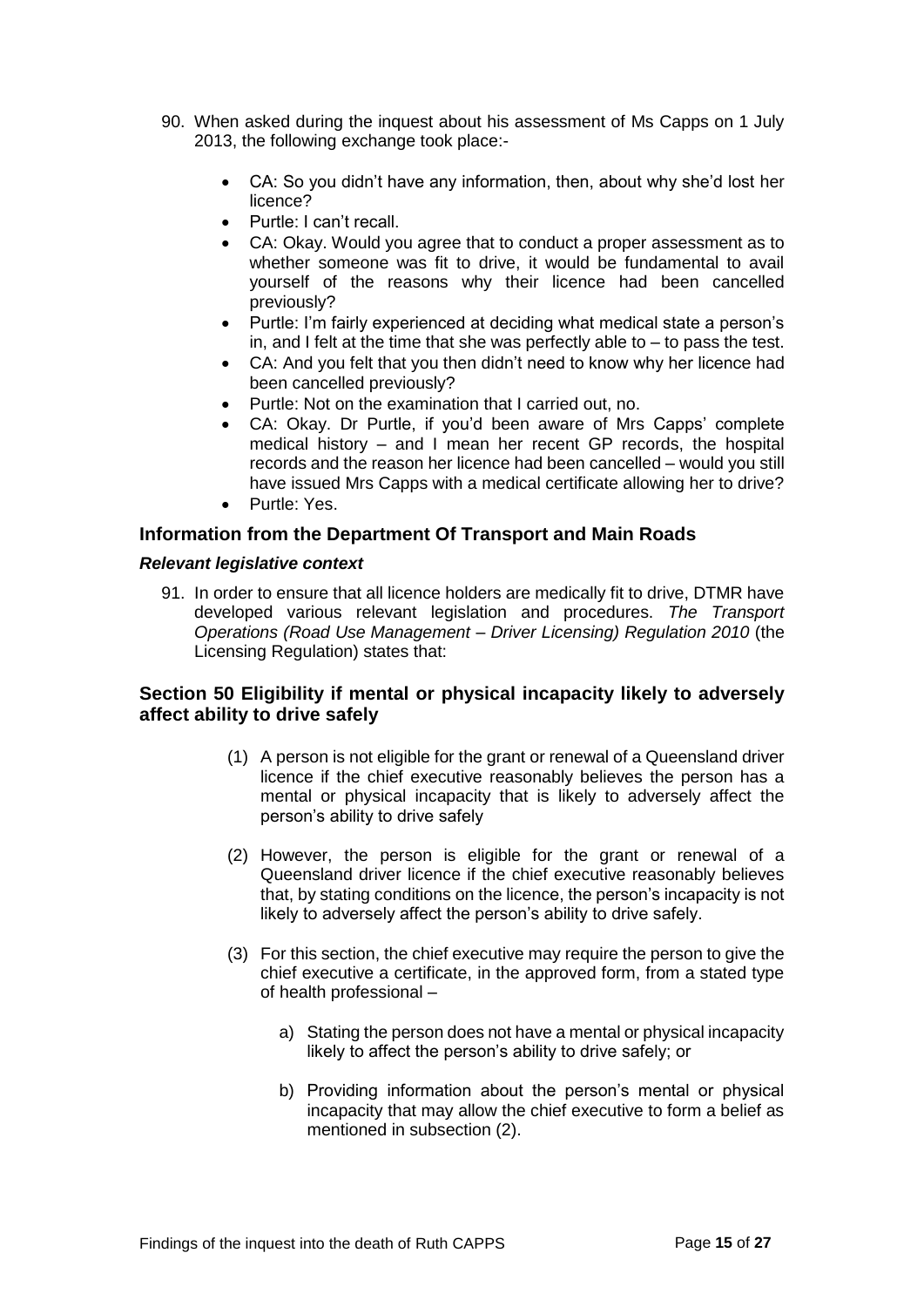- 90. When asked during the inquest about his assessment of Ms Capps on 1 July 2013, the following exchange took place:-
	- CA: So you didn't have any information, then, about why she'd lost her licence?
	- Purtle: I can't recall.
	- CA: Okay. Would you agree that to conduct a proper assessment as to whether someone was fit to drive, it would be fundamental to avail yourself of the reasons why their licence had been cancelled previously?
	- Purtle: I'm fairly experienced at deciding what medical state a person's in, and I felt at the time that she was perfectly able to – to pass the test.
	- CA: And you felt that you then didn't need to know why her licence had been cancelled previously?
	- Purtle: Not on the examination that I carried out, no.
	- CA: Okay. Dr Purtle, if you'd been aware of Mrs Capps' complete medical history – and I mean her recent GP records, the hospital records and the reason her licence had been cancelled – would you still have issued Mrs Capps with a medical certificate allowing her to drive?
	- Purtle: Yes.

# <span id="page-16-0"></span>**Information from the Department Of Transport and Main Roads**

#### *Relevant legislative context*

91. In order to ensure that all licence holders are medically fit to drive, DTMR have developed various relevant legislation and procedures. *The Transport Operations (Road Use Management – Driver Licensing) Regulation 2010* (the Licensing Regulation) states that:

# **Section 50 Eligibility if mental or physical incapacity likely to adversely affect ability to drive safely**

- (1) A person is not eligible for the grant or renewal of a Queensland driver licence if the chief executive reasonably believes the person has a mental or physical incapacity that is likely to adversely affect the person's ability to drive safely
- (2) However, the person is eligible for the grant or renewal of a Queensland driver licence if the chief executive reasonably believes that, by stating conditions on the licence, the person's incapacity is not likely to adversely affect the person's ability to drive safely.
- (3) For this section, the chief executive may require the person to give the chief executive a certificate, in the approved form, from a stated type of health professional –
	- a) Stating the person does not have a mental or physical incapacity likely to affect the person's ability to drive safely; or
	- b) Providing information about the person's mental or physical incapacity that may allow the chief executive to form a belief as mentioned in subsection (2).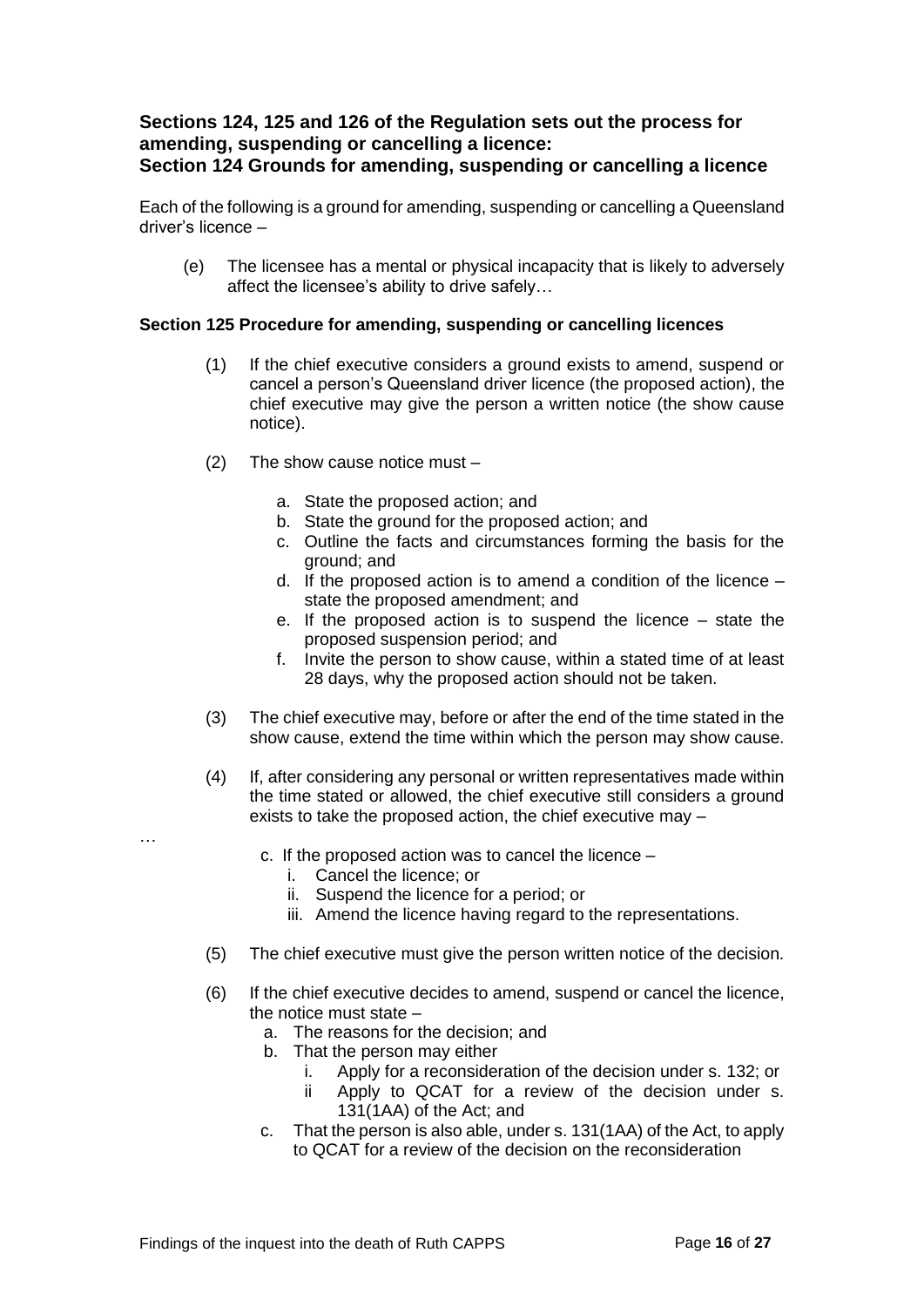# **Sections 124, 125 and 126 of the Regulation sets out the process for amending, suspending or cancelling a licence: Section 124 Grounds for amending, suspending or cancelling a licence**

Each of the following is a ground for amending, suspending or cancelling a Queensland driver's licence –

(e) The licensee has a mental or physical incapacity that is likely to adversely affect the licensee's ability to drive safely…

# **Section 125 Procedure for amending, suspending or cancelling licences**

- (1) If the chief executive considers a ground exists to amend, suspend or cancel a person's Queensland driver licence (the proposed action), the chief executive may give the person a written notice (the show cause notice).
- (2) The show cause notice must
	- a. State the proposed action; and
	- b. State the ground for the proposed action; and
	- c. Outline the facts and circumstances forming the basis for the ground; and
	- d. If the proposed action is to amend a condition of the licence state the proposed amendment; and
	- e. If the proposed action is to suspend the licence state the proposed suspension period; and
	- f. Invite the person to show cause, within a stated time of at least 28 days, why the proposed action should not be taken.
- (3) The chief executive may, before or after the end of the time stated in the show cause, extend the time within which the person may show cause.
- (4) If, after considering any personal or written representatives made within the time stated or allowed, the chief executive still considers a ground exists to take the proposed action, the chief executive may –
	- c. If the proposed action was to cancel the licence
		- i. Cancel the licence; or

…

- ii. Suspend the licence for a period; or
- iii. Amend the licence having regard to the representations.
- (5) The chief executive must give the person written notice of the decision.
- (6) If the chief executive decides to amend, suspend or cancel the licence, the notice must state –
	- a. The reasons for the decision; and
	- b. That the person may either
		- i. Apply for a reconsideration of the decision under s. 132; or
		- ii Apply to QCAT for a review of the decision under s. 131(1AA) of the Act; and
	- c. That the person is also able, under s. 131(1AA) of the Act, to apply to QCAT for a review of the decision on the reconsideration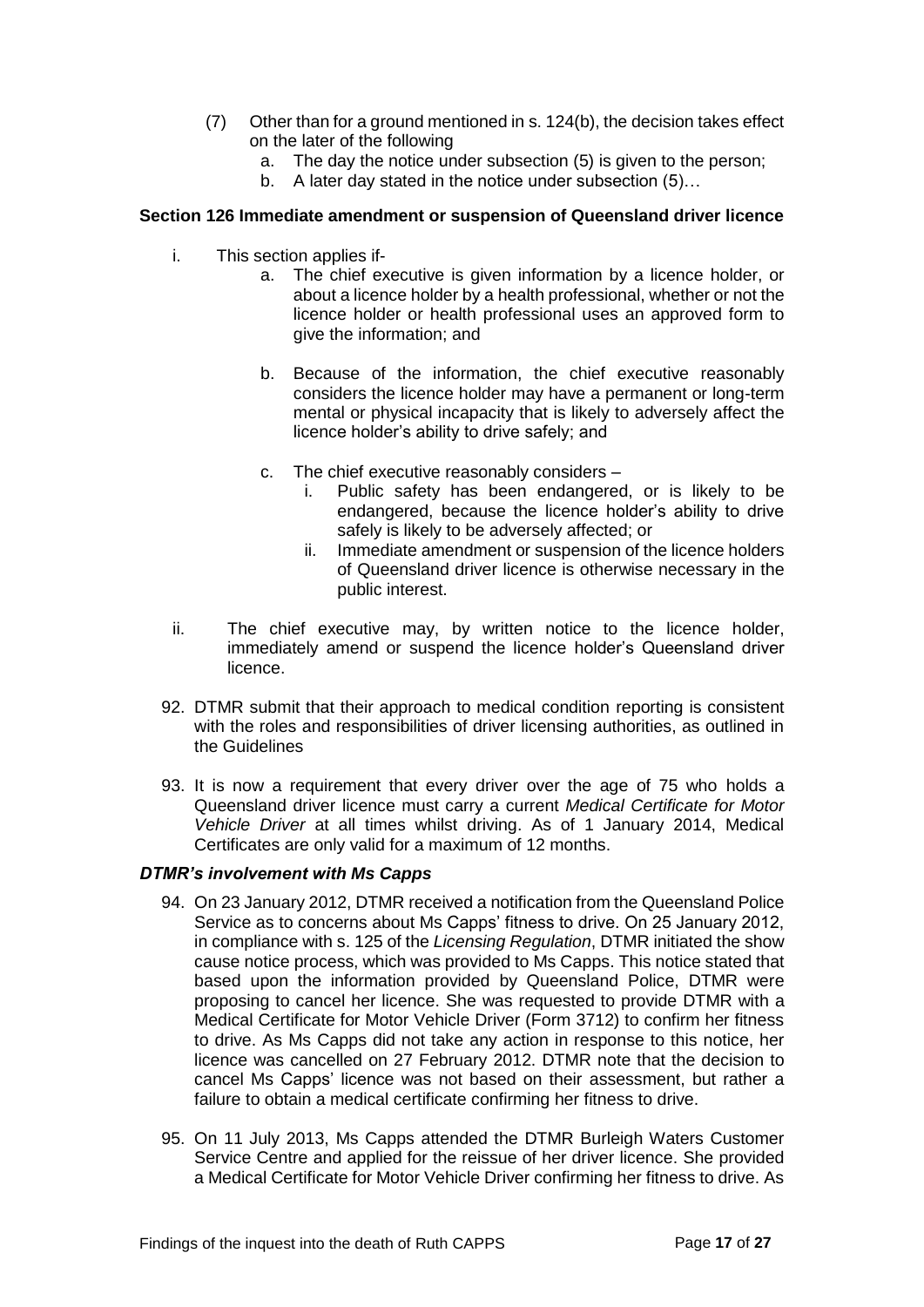- (7) Other than for a ground mentioned in s. 124(b), the decision takes effect on the later of the following
	- a. The day the notice under subsection (5) is given to the person;
	- b. A later day stated in the notice under subsection (5)...

#### **Section 126 Immediate amendment or suspension of Queensland driver licence**

- i. This section applies if
	- a. The chief executive is given information by a licence holder, or about a licence holder by a health professional, whether or not the licence holder or health professional uses an approved form to give the information; and
	- b. Because of the information, the chief executive reasonably considers the licence holder may have a permanent or long-term mental or physical incapacity that is likely to adversely affect the licence holder's ability to drive safely; and
	- c. The chief executive reasonably considers
		- i. Public safety has been endangered, or is likely to be endangered, because the licence holder's ability to drive safely is likely to be adversely affected; or
		- ii. Immediate amendment or suspension of the licence holders of Queensland driver licence is otherwise necessary in the public interest.
- ii. The chief executive may, by written notice to the licence holder, immediately amend or suspend the licence holder's Queensland driver licence.
- 92. DTMR submit that their approach to medical condition reporting is consistent with the roles and responsibilities of driver licensing authorities, as outlined in the Guidelines
- 93. It is now a requirement that every driver over the age of 75 who holds a Queensland driver licence must carry a current *Medical Certificate for Motor Vehicle Driver* at all times whilst driving. As of 1 January 2014, Medical Certificates are only valid for a maximum of 12 months.

#### *DTMR's involvement with Ms Capps*

- 94. On 23 January 2012, DTMR received a notification from the Queensland Police Service as to concerns about Ms Capps' fitness to drive. On 25 January 2012, in compliance with s. 125 of the *Licensing Regulation*, DTMR initiated the show cause notice process, which was provided to Ms Capps. This notice stated that based upon the information provided by Queensland Police, DTMR were proposing to cancel her licence. She was requested to provide DTMR with a Medical Certificate for Motor Vehicle Driver (Form 3712) to confirm her fitness to drive. As Ms Capps did not take any action in response to this notice, her licence was cancelled on 27 February 2012. DTMR note that the decision to cancel Ms Capps' licence was not based on their assessment, but rather a failure to obtain a medical certificate confirming her fitness to drive.
- 95. On 11 July 2013, Ms Capps attended the DTMR Burleigh Waters Customer Service Centre and applied for the reissue of her driver licence. She provided a Medical Certificate for Motor Vehicle Driver confirming her fitness to drive. As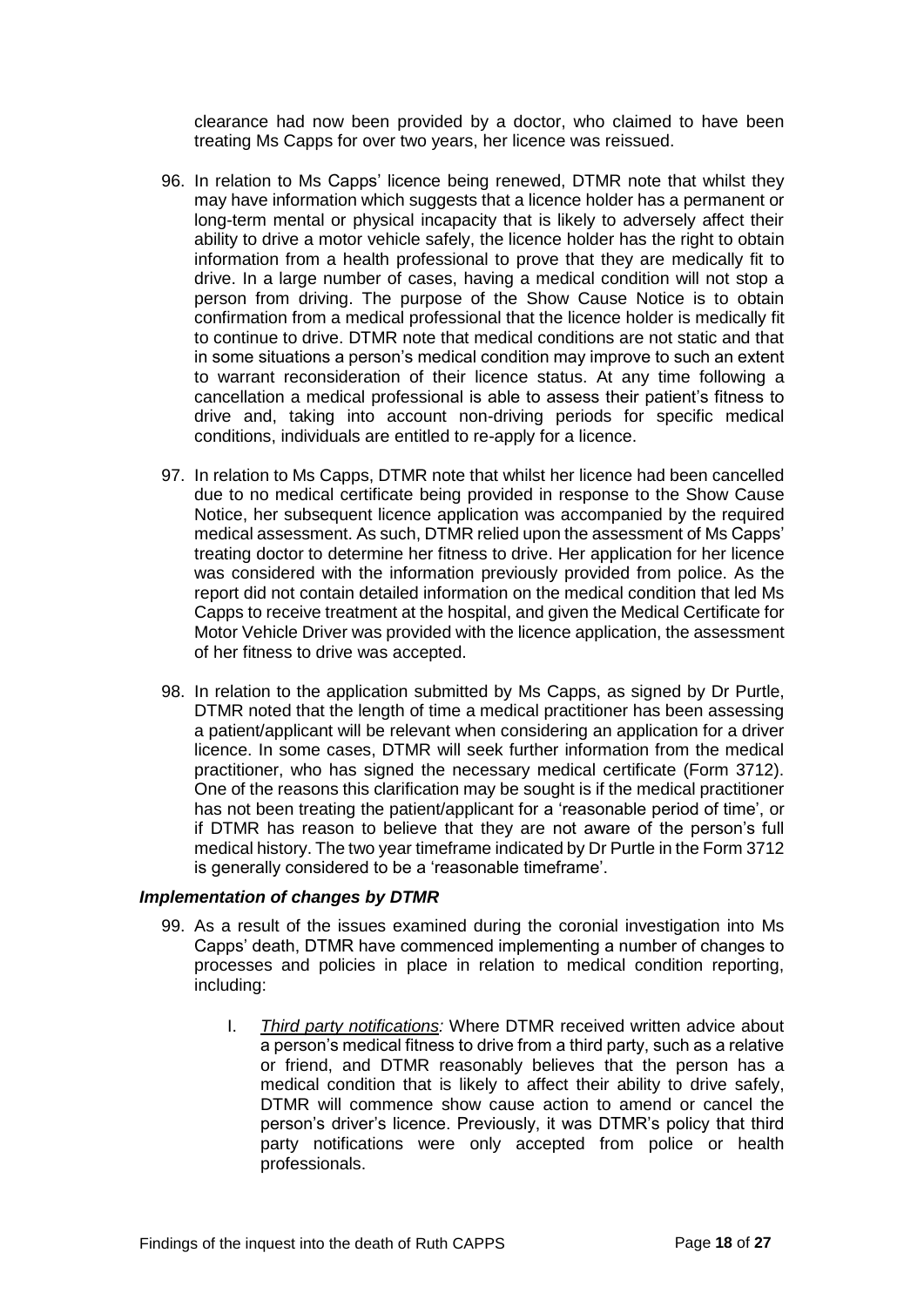clearance had now been provided by a doctor, who claimed to have been treating Ms Capps for over two years, her licence was reissued.

- 96. In relation to Ms Capps' licence being renewed, DTMR note that whilst they may have information which suggests that a licence holder has a permanent or long-term mental or physical incapacity that is likely to adversely affect their ability to drive a motor vehicle safely, the licence holder has the right to obtain information from a health professional to prove that they are medically fit to drive. In a large number of cases, having a medical condition will not stop a person from driving. The purpose of the Show Cause Notice is to obtain confirmation from a medical professional that the licence holder is medically fit to continue to drive. DTMR note that medical conditions are not static and that in some situations a person's medical condition may improve to such an extent to warrant reconsideration of their licence status. At any time following a cancellation a medical professional is able to assess their patient's fitness to drive and, taking into account non-driving periods for specific medical conditions, individuals are entitled to re-apply for a licence.
- 97. In relation to Ms Capps, DTMR note that whilst her licence had been cancelled due to no medical certificate being provided in response to the Show Cause Notice, her subsequent licence application was accompanied by the required medical assessment. As such, DTMR relied upon the assessment of Ms Capps' treating doctor to determine her fitness to drive. Her application for her licence was considered with the information previously provided from police. As the report did not contain detailed information on the medical condition that led Ms Capps to receive treatment at the hospital, and given the Medical Certificate for Motor Vehicle Driver was provided with the licence application, the assessment of her fitness to drive was accepted.
- 98. In relation to the application submitted by Ms Capps, as signed by Dr Purtle, DTMR noted that the length of time a medical practitioner has been assessing a patient/applicant will be relevant when considering an application for a driver licence. In some cases, DTMR will seek further information from the medical practitioner, who has signed the necessary medical certificate (Form 3712). One of the reasons this clarification may be sought is if the medical practitioner has not been treating the patient/applicant for a 'reasonable period of time', or if DTMR has reason to believe that they are not aware of the person's full medical history. The two year timeframe indicated by Dr Purtle in the Form 3712 is generally considered to be a 'reasonable timeframe'.

#### *Implementation of changes by DTMR*

- 99. As a result of the issues examined during the coronial investigation into Ms Capps' death, DTMR have commenced implementing a number of changes to processes and policies in place in relation to medical condition reporting, including:
	- I. *Third party notifications:* Where DTMR received written advice about a person's medical fitness to drive from a third party, such as a relative or friend, and DTMR reasonably believes that the person has a medical condition that is likely to affect their ability to drive safely, DTMR will commence show cause action to amend or cancel the person's driver's licence. Previously, it was DTMR's policy that third party notifications were only accepted from police or health professionals.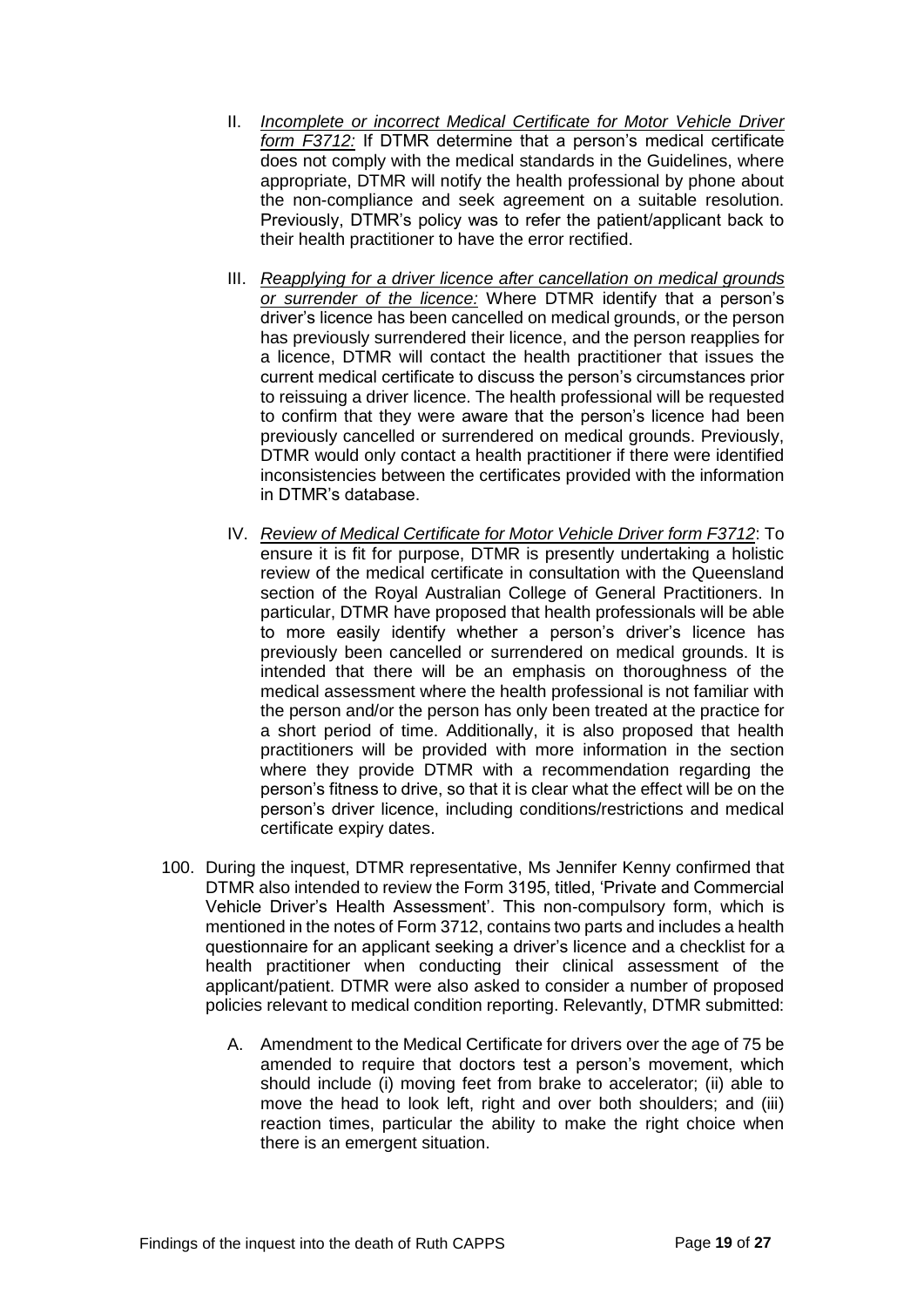- II. *Incomplete or incorrect Medical Certificate for Motor Vehicle Driver form F3712:* If DTMR determine that a person's medical certificate does not comply with the medical standards in the Guidelines, where appropriate, DTMR will notify the health professional by phone about the non-compliance and seek agreement on a suitable resolution. Previously, DTMR's policy was to refer the patient/applicant back to their health practitioner to have the error rectified.
- III. *Reapplying for a driver licence after cancellation on medical grounds or surrender of the licence:* Where DTMR identify that a person's driver's licence has been cancelled on medical grounds, or the person has previously surrendered their licence, and the person reapplies for a licence, DTMR will contact the health practitioner that issues the current medical certificate to discuss the person's circumstances prior to reissuing a driver licence. The health professional will be requested to confirm that they were aware that the person's licence had been previously cancelled or surrendered on medical grounds. Previously, DTMR would only contact a health practitioner if there were identified inconsistencies between the certificates provided with the information in DTMR's database.
- IV. *Review of Medical Certificate for Motor Vehicle Driver form F3712*: To ensure it is fit for purpose, DTMR is presently undertaking a holistic review of the medical certificate in consultation with the Queensland section of the Royal Australian College of General Practitioners. In particular, DTMR have proposed that health professionals will be able to more easily identify whether a person's driver's licence has previously been cancelled or surrendered on medical grounds. It is intended that there will be an emphasis on thoroughness of the medical assessment where the health professional is not familiar with the person and/or the person has only been treated at the practice for a short period of time. Additionally, it is also proposed that health practitioners will be provided with more information in the section where they provide DTMR with a recommendation regarding the person's fitness to drive, so that it is clear what the effect will be on the person's driver licence, including conditions/restrictions and medical certificate expiry dates.
- 100. During the inquest, DTMR representative, Ms Jennifer Kenny confirmed that DTMR also intended to review the Form 3195, titled, 'Private and Commercial Vehicle Driver's Health Assessment'. This non-compulsory form, which is mentioned in the notes of Form 3712, contains two parts and includes a health questionnaire for an applicant seeking a driver's licence and a checklist for a health practitioner when conducting their clinical assessment of the applicant/patient. DTMR were also asked to consider a number of proposed policies relevant to medical condition reporting. Relevantly, DTMR submitted:
	- A. Amendment to the Medical Certificate for drivers over the age of 75 be amended to require that doctors test a person's movement, which should include (i) moving feet from brake to accelerator; (ii) able to move the head to look left, right and over both shoulders; and (iii) reaction times, particular the ability to make the right choice when there is an emergent situation.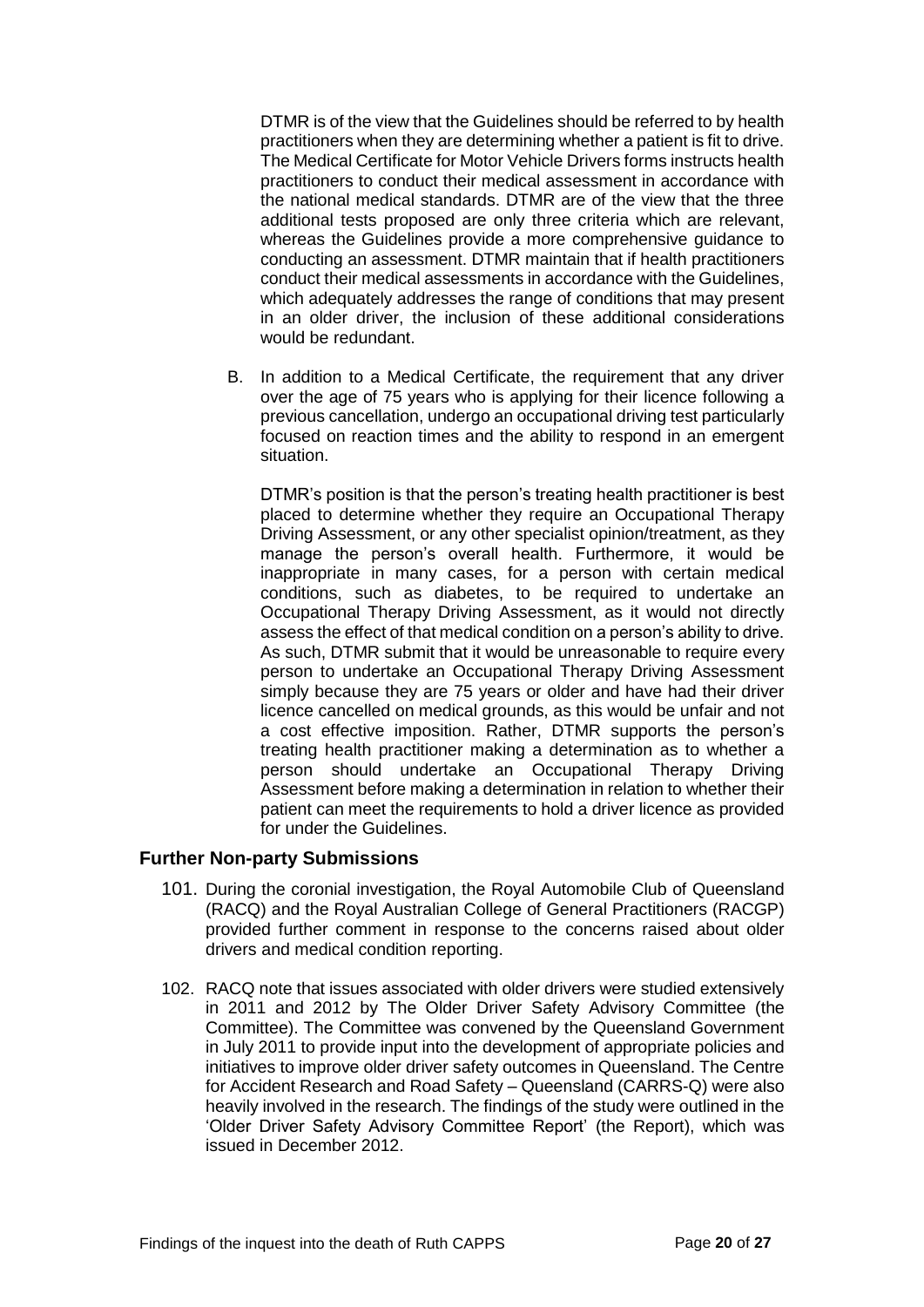DTMR is of the view that the Guidelines should be referred to by health practitioners when they are determining whether a patient is fit to drive. The Medical Certificate for Motor Vehicle Drivers forms instructs health practitioners to conduct their medical assessment in accordance with the national medical standards. DTMR are of the view that the three additional tests proposed are only three criteria which are relevant, whereas the Guidelines provide a more comprehensive guidance to conducting an assessment. DTMR maintain that if health practitioners conduct their medical assessments in accordance with the Guidelines, which adequately addresses the range of conditions that may present in an older driver, the inclusion of these additional considerations would be redundant.

B. In addition to a Medical Certificate, the requirement that any driver over the age of 75 years who is applying for their licence following a previous cancellation, undergo an occupational driving test particularly focused on reaction times and the ability to respond in an emergent situation.

DTMR's position is that the person's treating health practitioner is best placed to determine whether they require an Occupational Therapy Driving Assessment, or any other specialist opinion/treatment, as they manage the person's overall health. Furthermore, it would be inappropriate in many cases, for a person with certain medical conditions, such as diabetes, to be required to undertake an Occupational Therapy Driving Assessment, as it would not directly assess the effect of that medical condition on a person's ability to drive. As such, DTMR submit that it would be unreasonable to require every person to undertake an Occupational Therapy Driving Assessment simply because they are 75 years or older and have had their driver licence cancelled on medical grounds, as this would be unfair and not a cost effective imposition. Rather, DTMR supports the person's treating health practitioner making a determination as to whether a person should undertake an Occupational Therapy Driving Assessment before making a determination in relation to whether their patient can meet the requirements to hold a driver licence as provided for under the Guidelines.

# <span id="page-21-0"></span>**Further Non-party Submissions**

- 101. During the coronial investigation, the Royal Automobile Club of Queensland (RACQ) and the Royal Australian College of General Practitioners (RACGP) provided further comment in response to the concerns raised about older drivers and medical condition reporting.
- 102. RACQ note that issues associated with older drivers were studied extensively in 2011 and 2012 by The Older Driver Safety Advisory Committee (the Committee). The Committee was convened by the Queensland Government in July 2011 to provide input into the development of appropriate policies and initiatives to improve older driver safety outcomes in Queensland. The Centre for Accident Research and Road Safety – Queensland (CARRS-Q) were also heavily involved in the research. The findings of the study were outlined in the 'Older Driver Safety Advisory Committee Report' (the Report), which was issued in December 2012.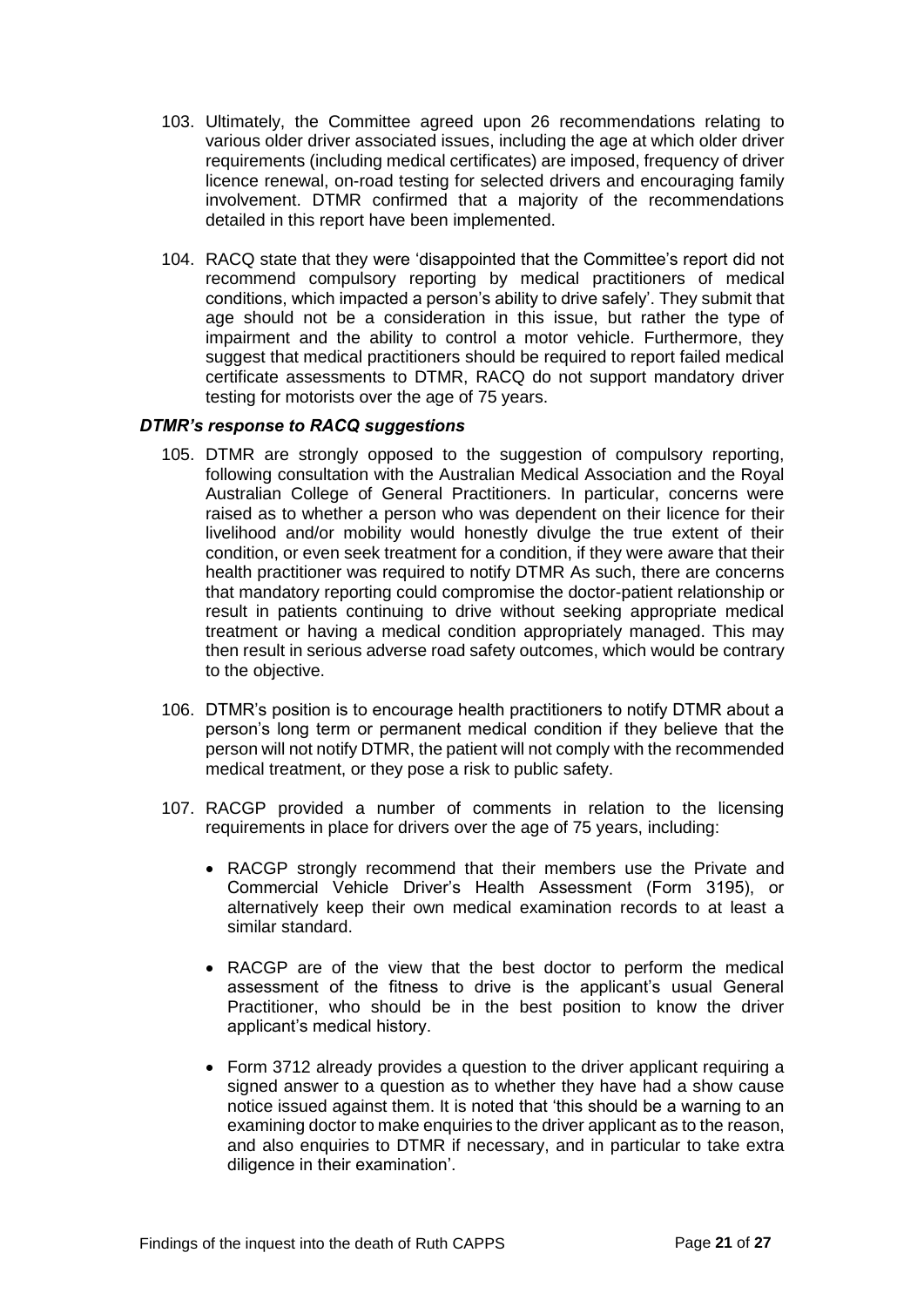- 103. Ultimately, the Committee agreed upon 26 recommendations relating to various older driver associated issues, including the age at which older driver requirements (including medical certificates) are imposed, frequency of driver licence renewal, on-road testing for selected drivers and encouraging family involvement. DTMR confirmed that a majority of the recommendations detailed in this report have been implemented.
- 104. RACQ state that they were 'disappointed that the Committee's report did not recommend compulsory reporting by medical practitioners of medical conditions, which impacted a person's ability to drive safely'. They submit that age should not be a consideration in this issue, but rather the type of impairment and the ability to control a motor vehicle. Furthermore, they suggest that medical practitioners should be required to report failed medical certificate assessments to DTMR, RACQ do not support mandatory driver testing for motorists over the age of 75 years.

# *DTMR's response to RACQ suggestions*

- 105. DTMR are strongly opposed to the suggestion of compulsory reporting, following consultation with the Australian Medical Association and the Royal Australian College of General Practitioners. In particular, concerns were raised as to whether a person who was dependent on their licence for their livelihood and/or mobility would honestly divulge the true extent of their condition, or even seek treatment for a condition, if they were aware that their health practitioner was required to notify DTMR As such, there are concerns that mandatory reporting could compromise the doctor-patient relationship or result in patients continuing to drive without seeking appropriate medical treatment or having a medical condition appropriately managed. This may then result in serious adverse road safety outcomes, which would be contrary to the objective.
- 106. DTMR's position is to encourage health practitioners to notify DTMR about a person's long term or permanent medical condition if they believe that the person will not notify DTMR, the patient will not comply with the recommended medical treatment, or they pose a risk to public safety.
- 107. RACGP provided a number of comments in relation to the licensing requirements in place for drivers over the age of 75 years, including:
	- RACGP strongly recommend that their members use the Private and Commercial Vehicle Driver's Health Assessment (Form 3195), or alternatively keep their own medical examination records to at least a similar standard.
	- RACGP are of the view that the best doctor to perform the medical assessment of the fitness to drive is the applicant's usual General Practitioner, who should be in the best position to know the driver applicant's medical history.
	- Form 3712 already provides a question to the driver applicant requiring a signed answer to a question as to whether they have had a show cause notice issued against them. It is noted that 'this should be a warning to an examining doctor to make enquiries to the driver applicant as to the reason, and also enquiries to DTMR if necessary, and in particular to take extra diligence in their examination'.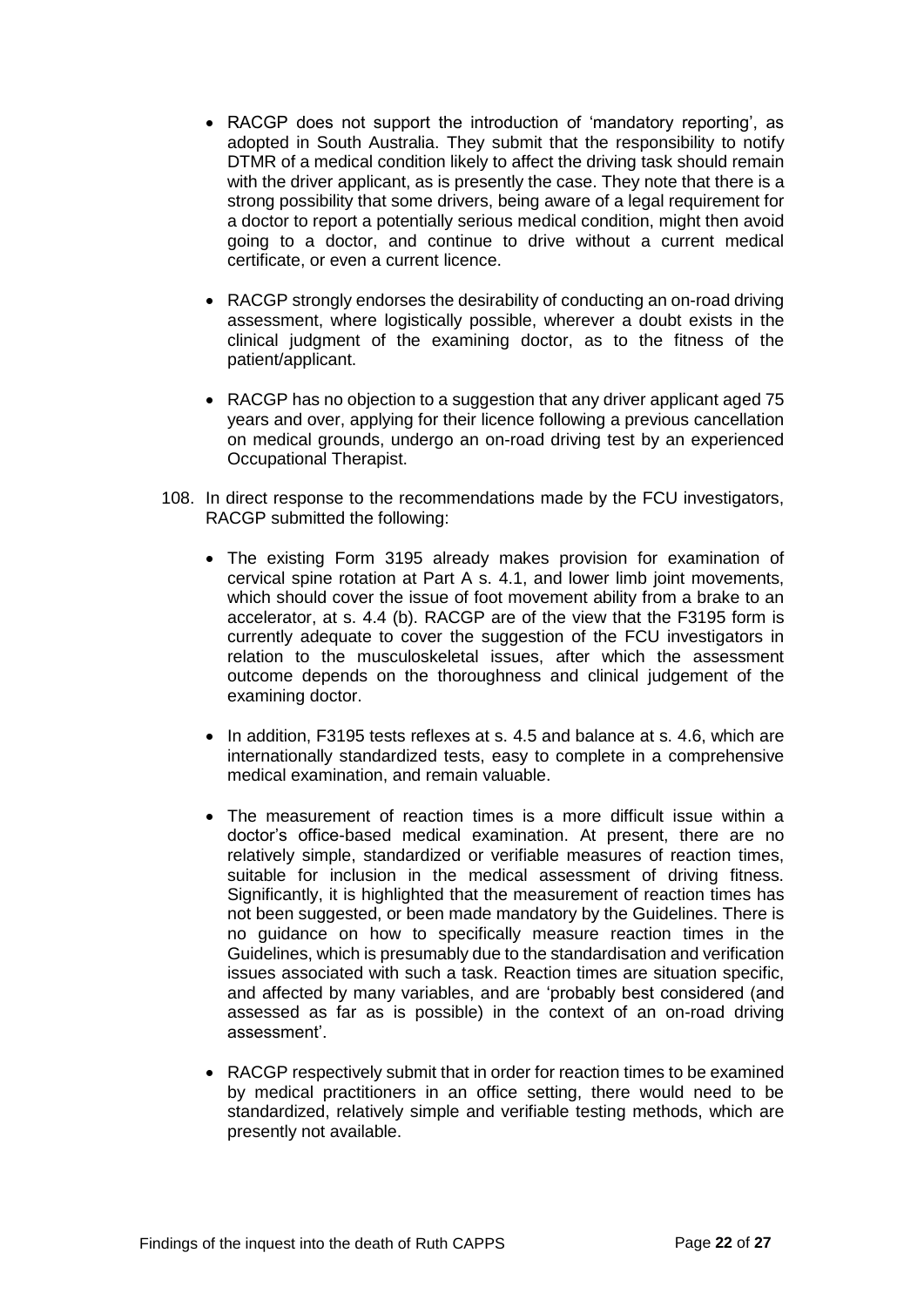- RACGP does not support the introduction of 'mandatory reporting', as adopted in South Australia. They submit that the responsibility to notify DTMR of a medical condition likely to affect the driving task should remain with the driver applicant, as is presently the case. They note that there is a strong possibility that some drivers, being aware of a legal requirement for a doctor to report a potentially serious medical condition, might then avoid going to a doctor, and continue to drive without a current medical certificate, or even a current licence.
- RACGP strongly endorses the desirability of conducting an on-road driving assessment, where logistically possible, wherever a doubt exists in the clinical judgment of the examining doctor, as to the fitness of the patient/applicant.
- RACGP has no objection to a suggestion that any driver applicant aged 75 years and over, applying for their licence following a previous cancellation on medical grounds, undergo an on-road driving test by an experienced Occupational Therapist.
- 108. In direct response to the recommendations made by the FCU investigators, RACGP submitted the following:
	- The existing Form 3195 already makes provision for examination of cervical spine rotation at Part A s. 4.1, and lower limb joint movements, which should cover the issue of foot movement ability from a brake to an accelerator, at s. 4.4 (b). RACGP are of the view that the F3195 form is currently adequate to cover the suggestion of the FCU investigators in relation to the musculoskeletal issues, after which the assessment outcome depends on the thoroughness and clinical judgement of the examining doctor.
	- In addition, F3195 tests reflexes at s. 4.5 and balance at s. 4.6, which are internationally standardized tests, easy to complete in a comprehensive medical examination, and remain valuable.
	- The measurement of reaction times is a more difficult issue within a doctor's office-based medical examination. At present, there are no relatively simple, standardized or verifiable measures of reaction times, suitable for inclusion in the medical assessment of driving fitness. Significantly, it is highlighted that the measurement of reaction times has not been suggested, or been made mandatory by the Guidelines. There is no guidance on how to specifically measure reaction times in the Guidelines, which is presumably due to the standardisation and verification issues associated with such a task. Reaction times are situation specific, and affected by many variables, and are 'probably best considered (and assessed as far as is possible) in the context of an on-road driving assessment'.
	- RACGP respectively submit that in order for reaction times to be examined by medical practitioners in an office setting, there would need to be standardized, relatively simple and verifiable testing methods, which are presently not available.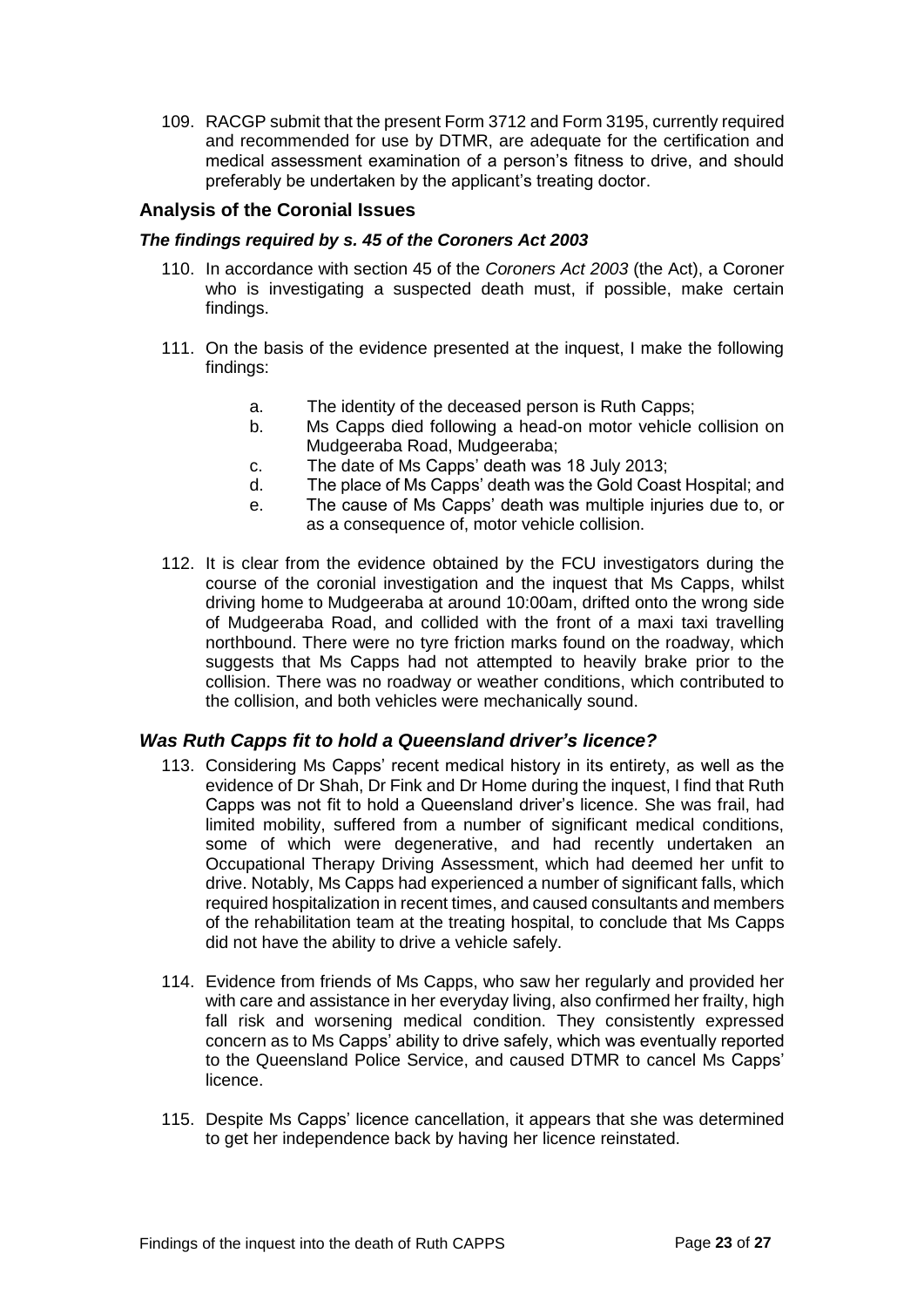109. RACGP submit that the present Form 3712 and Form 3195, currently required and recommended for use by DTMR, are adequate for the certification and medical assessment examination of a person's fitness to drive, and should preferably be undertaken by the applicant's treating doctor.

# <span id="page-24-0"></span>**Analysis of the Coronial Issues**

#### <span id="page-24-1"></span>*The findings required by s. 45 of the Coroners Act 2003*

- 110. In accordance with section 45 of the *Coroners Act 2003* (the Act), a Coroner who is investigating a suspected death must, if possible, make certain findings.
- 111. On the basis of the evidence presented at the inquest, I make the following findings:
	- a. The identity of the deceased person is Ruth Capps;
	- b. Ms Capps died following a head-on motor vehicle collision on Mudgeeraba Road, Mudgeeraba;
	- c. The date of Ms Capps' death was 18 July 2013;
	- d. The place of Ms Capps' death was the Gold Coast Hospital; and
	- e. The cause of Ms Capps' death was multiple injuries due to, or as a consequence of, motor vehicle collision.
- 112. It is clear from the evidence obtained by the FCU investigators during the course of the coronial investigation and the inquest that Ms Capps, whilst driving home to Mudgeeraba at around 10:00am, drifted onto the wrong side of Mudgeeraba Road, and collided with the front of a maxi taxi travelling northbound. There were no tyre friction marks found on the roadway, which suggests that Ms Capps had not attempted to heavily brake prior to the collision. There was no roadway or weather conditions, which contributed to the collision, and both vehicles were mechanically sound.

# *Was Ruth Capps fit to hold a Queensland driver's licence?*

- 113. Considering Ms Capps' recent medical history in its entirety, as well as the evidence of Dr Shah, Dr Fink and Dr Home during the inquest, I find that Ruth Capps was not fit to hold a Queensland driver's licence. She was frail, had limited mobility, suffered from a number of significant medical conditions, some of which were degenerative, and had recently undertaken an Occupational Therapy Driving Assessment, which had deemed her unfit to drive. Notably, Ms Capps had experienced a number of significant falls, which required hospitalization in recent times, and caused consultants and members of the rehabilitation team at the treating hospital, to conclude that Ms Capps did not have the ability to drive a vehicle safely.
- 114. Evidence from friends of Ms Capps, who saw her regularly and provided her with care and assistance in her everyday living, also confirmed her frailty, high fall risk and worsening medical condition. They consistently expressed concern as to Ms Capps' ability to drive safely, which was eventually reported to the Queensland Police Service, and caused DTMR to cancel Ms Capps' licence.
- 115. Despite Ms Capps' licence cancellation, it appears that she was determined to get her independence back by having her licence reinstated.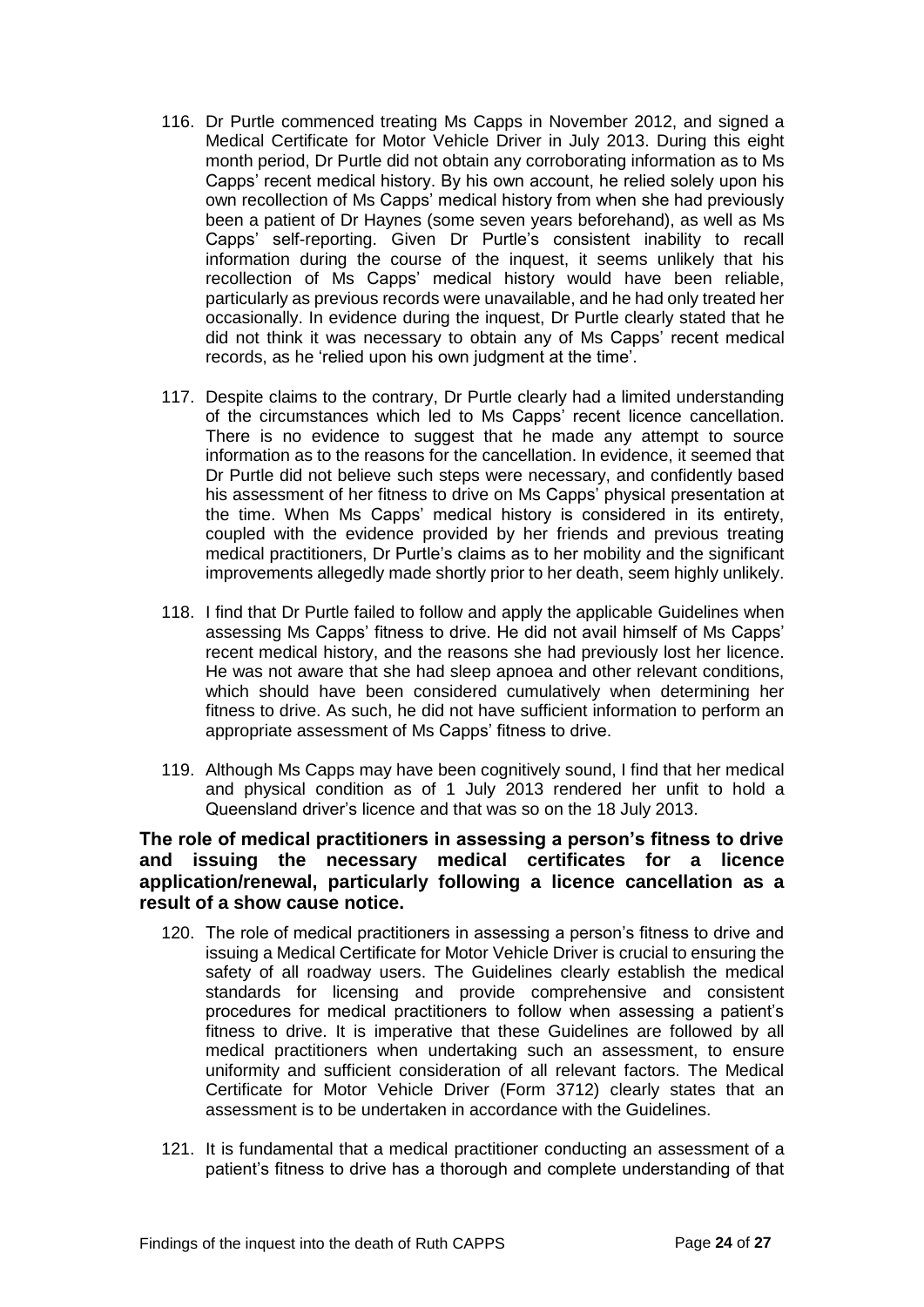- 116. Dr Purtle commenced treating Ms Capps in November 2012, and signed a Medical Certificate for Motor Vehicle Driver in July 2013. During this eight month period, Dr Purtle did not obtain any corroborating information as to Ms Capps' recent medical history. By his own account, he relied solely upon his own recollection of Ms Capps' medical history from when she had previously been a patient of Dr Haynes (some seven years beforehand), as well as Ms Capps' self-reporting. Given Dr Purtle's consistent inability to recall information during the course of the inquest, it seems unlikely that his recollection of Ms Capps' medical history would have been reliable, particularly as previous records were unavailable, and he had only treated her occasionally. In evidence during the inquest, Dr Purtle clearly stated that he did not think it was necessary to obtain any of Ms Capps' recent medical records, as he 'relied upon his own judgment at the time'.
- 117. Despite claims to the contrary, Dr Purtle clearly had a limited understanding of the circumstances which led to Ms Capps' recent licence cancellation. There is no evidence to suggest that he made any attempt to source information as to the reasons for the cancellation. In evidence, it seemed that Dr Purtle did not believe such steps were necessary, and confidently based his assessment of her fitness to drive on Ms Capps' physical presentation at the time. When Ms Capps' medical history is considered in its entirety, coupled with the evidence provided by her friends and previous treating medical practitioners, Dr Purtle's claims as to her mobility and the significant improvements allegedly made shortly prior to her death, seem highly unlikely.
- 118. I find that Dr Purtle failed to follow and apply the applicable Guidelines when assessing Ms Capps' fitness to drive. He did not avail himself of Ms Capps' recent medical history, and the reasons she had previously lost her licence. He was not aware that she had sleep apnoea and other relevant conditions, which should have been considered cumulatively when determining her fitness to drive. As such, he did not have sufficient information to perform an appropriate assessment of Ms Capps' fitness to drive.
- 119. Although Ms Capps may have been cognitively sound, I find that her medical and physical condition as of 1 July 2013 rendered her unfit to hold a Queensland driver's licence and that was so on the 18 July 2013.

# **The role of medical practitioners in assessing a person's fitness to drive and issuing the necessary medical certificates for a licence application/renewal, particularly following a licence cancellation as a result of a show cause notice.**

- 120. The role of medical practitioners in assessing a person's fitness to drive and issuing a Medical Certificate for Motor Vehicle Driver is crucial to ensuring the safety of all roadway users. The Guidelines clearly establish the medical standards for licensing and provide comprehensive and consistent procedures for medical practitioners to follow when assessing a patient's fitness to drive. It is imperative that these Guidelines are followed by all medical practitioners when undertaking such an assessment, to ensure uniformity and sufficient consideration of all relevant factors. The Medical Certificate for Motor Vehicle Driver (Form 3712) clearly states that an assessment is to be undertaken in accordance with the Guidelines.
- 121. It is fundamental that a medical practitioner conducting an assessment of a patient's fitness to drive has a thorough and complete understanding of that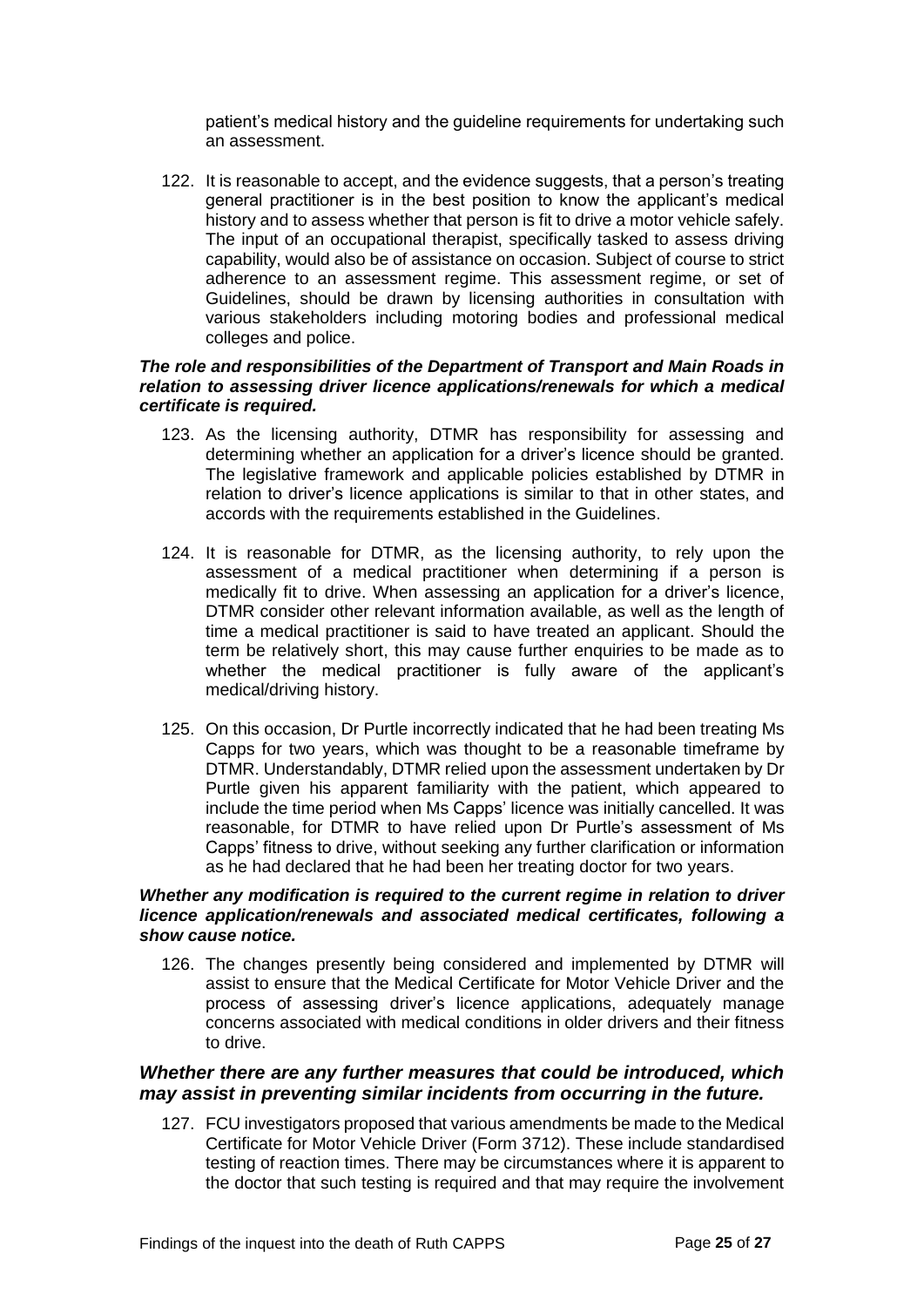patient's medical history and the guideline requirements for undertaking such an assessment.

122. It is reasonable to accept, and the evidence suggests, that a person's treating general practitioner is in the best position to know the applicant's medical history and to assess whether that person is fit to drive a motor vehicle safely. The input of an occupational therapist, specifically tasked to assess driving capability, would also be of assistance on occasion. Subject of course to strict adherence to an assessment regime. This assessment regime, or set of Guidelines, should be drawn by licensing authorities in consultation with various stakeholders including motoring bodies and professional medical colleges and police.

#### *The role and responsibilities of the Department of Transport and Main Roads in relation to assessing driver licence applications/renewals for which a medical certificate is required.*

- 123. As the licensing authority, DTMR has responsibility for assessing and determining whether an application for a driver's licence should be granted. The legislative framework and applicable policies established by DTMR in relation to driver's licence applications is similar to that in other states, and accords with the requirements established in the Guidelines.
- 124. It is reasonable for DTMR, as the licensing authority, to rely upon the assessment of a medical practitioner when determining if a person is medically fit to drive. When assessing an application for a driver's licence, DTMR consider other relevant information available, as well as the length of time a medical practitioner is said to have treated an applicant. Should the term be relatively short, this may cause further enquiries to be made as to whether the medical practitioner is fully aware of the applicant's medical/driving history.
- 125. On this occasion, Dr Purtle incorrectly indicated that he had been treating Ms Capps for two years, which was thought to be a reasonable timeframe by DTMR. Understandably, DTMR relied upon the assessment undertaken by Dr Purtle given his apparent familiarity with the patient, which appeared to include the time period when Ms Capps' licence was initially cancelled. It was reasonable, for DTMR to have relied upon Dr Purtle's assessment of Ms Capps' fitness to drive, without seeking any further clarification or information as he had declared that he had been her treating doctor for two years.

#### *Whether any modification is required to the current regime in relation to driver licence application/renewals and associated medical certificates, following a show cause notice.*

126. The changes presently being considered and implemented by DTMR will assist to ensure that the Medical Certificate for Motor Vehicle Driver and the process of assessing driver's licence applications, adequately manage concerns associated with medical conditions in older drivers and their fitness to drive.

# *Whether there are any further measures that could be introduced, which may assist in preventing similar incidents from occurring in the future.*

127. FCU investigators proposed that various amendments be made to the Medical Certificate for Motor Vehicle Driver (Form 3712). These include standardised testing of reaction times. There may be circumstances where it is apparent to the doctor that such testing is required and that may require the involvement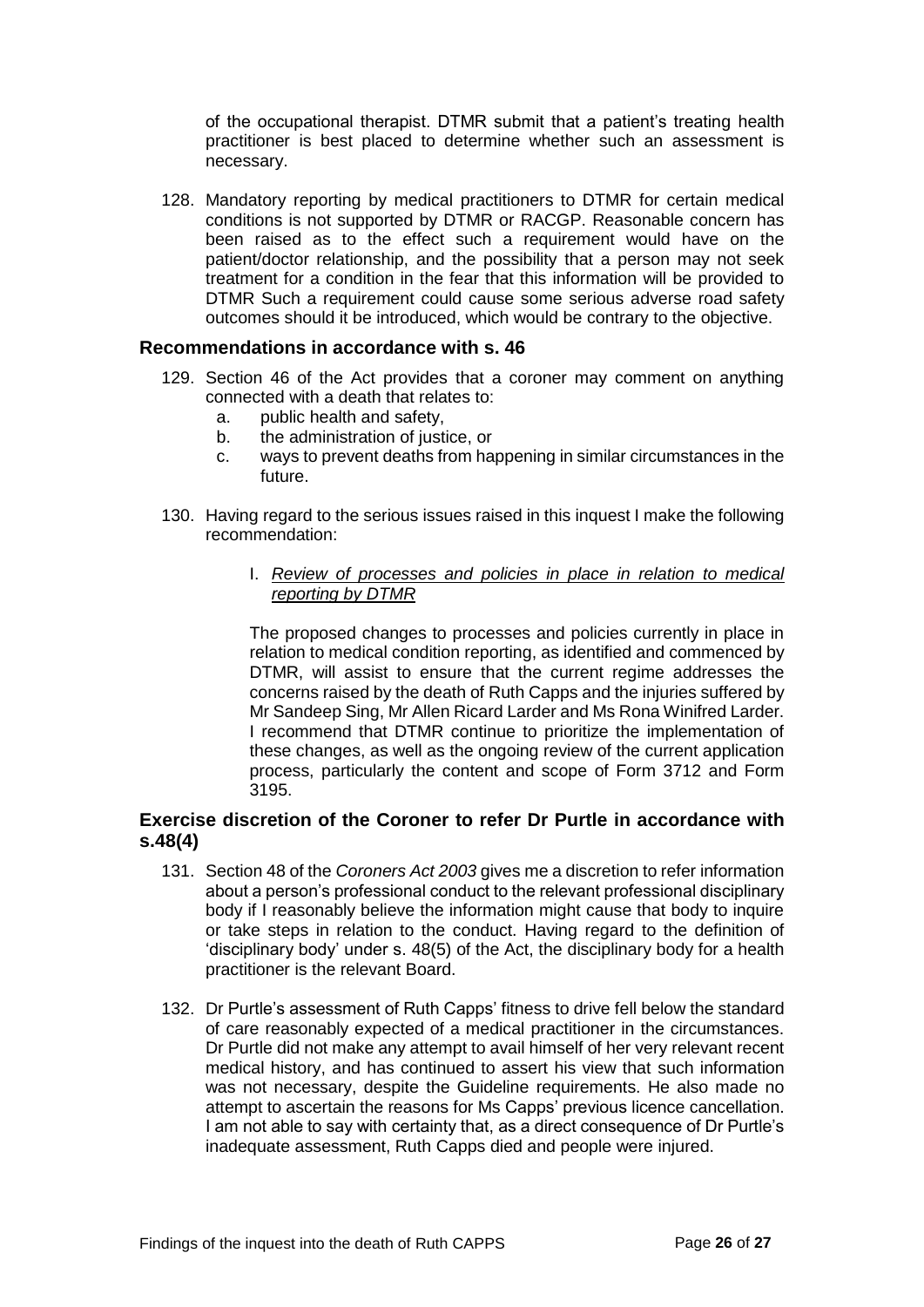of the occupational therapist. DTMR submit that a patient's treating health practitioner is best placed to determine whether such an assessment is necessary.

128. Mandatory reporting by medical practitioners to DTMR for certain medical conditions is not supported by DTMR or RACGP. Reasonable concern has been raised as to the effect such a requirement would have on the patient/doctor relationship, and the possibility that a person may not seek treatment for a condition in the fear that this information will be provided to DTMR Such a requirement could cause some serious adverse road safety outcomes should it be introduced, which would be contrary to the objective.

# <span id="page-27-0"></span>**Recommendations in accordance with s. 46**

- 129. Section 46 of the Act provides that a coroner may comment on anything connected with a death that relates to:
	- a. public health and safety,
	- b. the administration of justice, or
	- c. ways to prevent deaths from happening in similar circumstances in the future.
- 130. Having regard to the serious issues raised in this inquest I make the following recommendation:
	- I. *Review of processes and policies in place in relation to medical reporting by DTMR*

The proposed changes to processes and policies currently in place in relation to medical condition reporting, as identified and commenced by DTMR, will assist to ensure that the current regime addresses the concerns raised by the death of Ruth Capps and the injuries suffered by Mr Sandeep Sing, Mr Allen Ricard Larder and Ms Rona Winifred Larder. I recommend that DTMR continue to prioritize the implementation of these changes, as well as the ongoing review of the current application process, particularly the content and scope of Form 3712 and Form 3195.

# **Exercise discretion of the Coroner to refer Dr Purtle in accordance with s.48(4)**

- 131. Section 48 of the *Coroners Act 2003* gives me a discretion to refer information about a person's professional conduct to the relevant professional disciplinary body if I reasonably believe the information might cause that body to inquire or take steps in relation to the conduct. Having regard to the definition of 'disciplinary body' under s. 48(5) of the Act, the disciplinary body for a health practitioner is the relevant Board.
- 132. Dr Purtle's assessment of Ruth Capps' fitness to drive fell below the standard of care reasonably expected of a medical practitioner in the circumstances. Dr Purtle did not make any attempt to avail himself of her very relevant recent medical history, and has continued to assert his view that such information was not necessary, despite the Guideline requirements. He also made no attempt to ascertain the reasons for Ms Capps' previous licence cancellation. I am not able to say with certainty that, as a direct consequence of Dr Purtle's inadequate assessment, Ruth Capps died and people were injured.